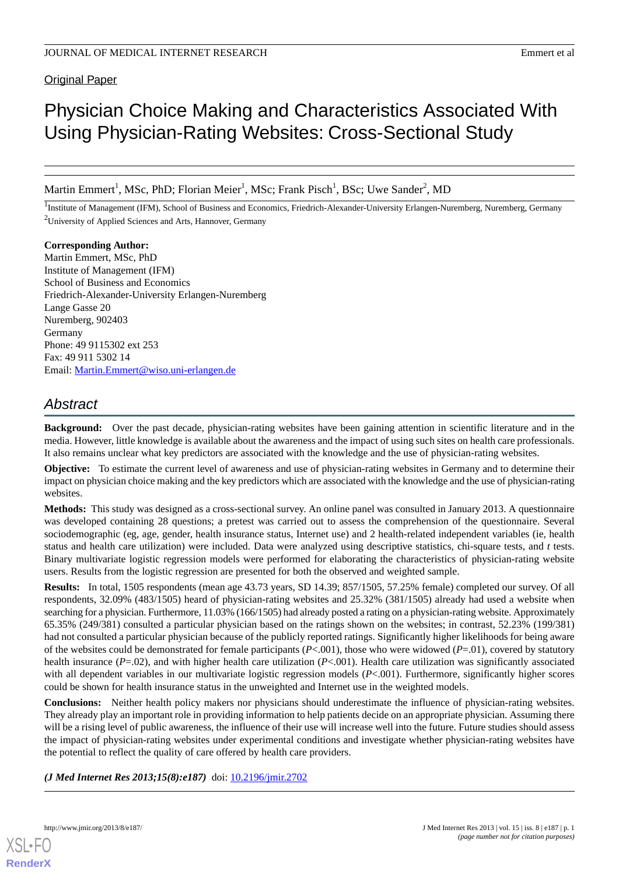**Original Paper** 

# Physician Choice Making and Characteristics Associated With Using Physician-Rating Websites: Cross-Sectional Study

Martin Emmert<sup>1</sup>, MSc, PhD; Florian Meier<sup>1</sup>, MSc; Frank Pisch<sup>1</sup>, BSc; Uwe Sander<sup>2</sup>, MD

<sup>1</sup>Institute of Management (IFM), School of Business and Economics, Friedrich-Alexander-University Erlangen-Nuremberg, Nuremberg, Germany <sup>2</sup>University of Applied Sciences and Arts, Hannover, Germany

**Corresponding Author:** Martin Emmert, MSc, PhD Institute of Management (IFM) School of Business and Economics Friedrich-Alexander-University Erlangen-Nuremberg Lange Gasse 20 Nuremberg, 902403 Germany Phone: 49 9115302 ext 253 Fax: 49 911 5302 14 Email: [Martin.Emmert@wiso.uni-erlangen.de](mailto:Martin.Emmert@wiso.uni-erlangen.de)

# *Abstract*

**Background:** Over the past decade, physician-rating websites have been gaining attention in scientific literature and in the media. However, little knowledge is available about the awareness and the impact of using such sites on health care professionals. It also remains unclear what key predictors are associated with the knowledge and the use of physician-rating websites.

**Objective:** To estimate the current level of awareness and use of physician-rating websites in Germany and to determine their impact on physician choice making and the key predictors which are associated with the knowledge and the use of physician-rating websites.

**Methods:** This study was designed as a cross-sectional survey. An online panel was consulted in January 2013. A questionnaire was developed containing 28 questions; a pretest was carried out to assess the comprehension of the questionnaire. Several sociodemographic (eg, age, gender, health insurance status, Internet use) and 2 health-related independent variables (ie, health status and health care utilization) were included. Data were analyzed using descriptive statistics, chi-square tests, and *t* tests. Binary multivariate logistic regression models were performed for elaborating the characteristics of physician-rating website users. Results from the logistic regression are presented for both the observed and weighted sample.

**Results:** In total, 1505 respondents (mean age 43.73 years, SD 14.39; 857/1505, 57.25% female) completed our survey. Of all respondents, 32.09% (483/1505) heard of physician-rating websites and 25.32% (381/1505) already had used a website when searching for a physician. Furthermore, 11.03% (166/1505) had already posted a rating on a physician-rating website. Approximately 65.35% (249/381) consulted a particular physician based on the ratings shown on the websites; in contrast, 52.23% (199/381) had not consulted a particular physician because of the publicly reported ratings. Significantly higher likelihoods for being aware of the websites could be demonstrated for female participants  $(P<.001)$ , those who were widowed  $(P=.01)$ , covered by statutory health insurance (*P*=.02), and with higher health care utilization (*P*<.001). Health care utilization was significantly associated with all dependent variables in our multivariate logistic regression models (*P*<.001). Furthermore, significantly higher scores could be shown for health insurance status in the unweighted and Internet use in the weighted models.

**Conclusions:** Neither health policy makers nor physicians should underestimate the influence of physician-rating websites. They already play an important role in providing information to help patients decide on an appropriate physician. Assuming there will be a rising level of public awareness, the influence of their use will increase well into the future. Future studies should assess the impact of physician-rating websites under experimental conditions and investigate whether physician-rating websites have the potential to reflect the quality of care offered by health care providers.

*(J Med Internet Res 2013;15(8):e187)* doi: [10.2196/jmir.2702](http://dx.doi.org/10.2196/jmir.2702)

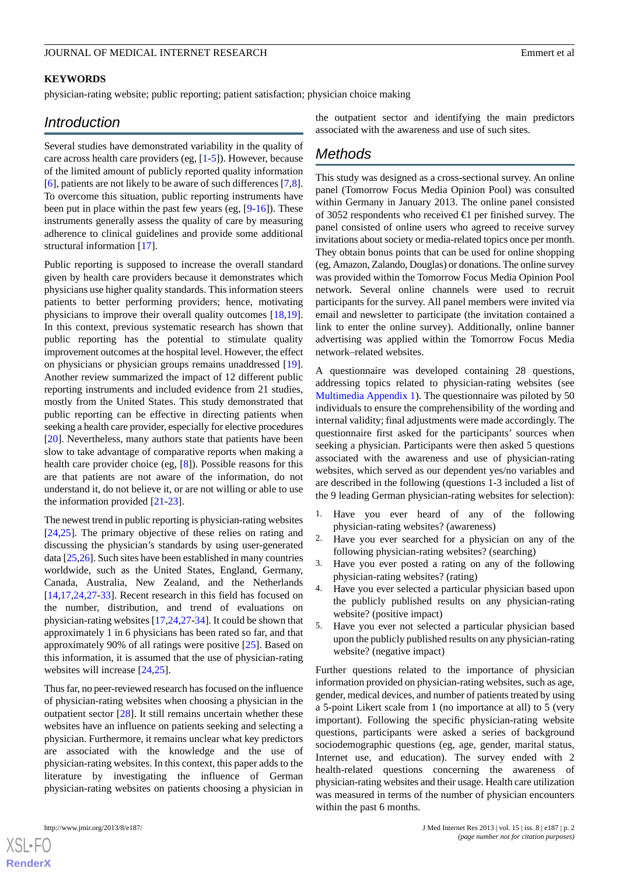#### **KEYWORDS**

physician-rating website; public reporting; patient satisfaction; physician choice making

# *Introduction*

Several studies have demonstrated variability in the quality of care across health care providers (eg, [[1](#page-12-0)[-5](#page-12-1)]). However, because of the limited amount of publicly reported quality information [[6\]](#page-12-2), patients are not likely to be aware of such differences [\[7](#page-12-3),[8\]](#page-12-4). To overcome this situation, public reporting instruments have been put in place within the past few years (eg, [[9-](#page-13-0)[16\]](#page-13-1)). These instruments generally assess the quality of care by measuring adherence to clinical guidelines and provide some additional structural information [[17\]](#page-13-2).

Public reporting is supposed to increase the overall standard given by health care providers because it demonstrates which physicians use higher quality standards. This information steers patients to better performing providers; hence, motivating physicians to improve their overall quality outcomes [\[18](#page-13-3),[19\]](#page-13-4). In this context, previous systematic research has shown that public reporting has the potential to stimulate quality improvement outcomes at the hospital level. However, the effect on physicians or physician groups remains unaddressed [[19\]](#page-13-4). Another review summarized the impact of 12 different public reporting instruments and included evidence from 21 studies, mostly from the United States. This study demonstrated that public reporting can be effective in directing patients when seeking a health care provider, especially for elective procedures [[20\]](#page-13-5). Nevertheless, many authors state that patients have been slow to take advantage of comparative reports when making a health care provider choice (eg, [\[8](#page-12-4)]). Possible reasons for this are that patients are not aware of the information, do not understand it, do not believe it, or are not willing or able to use the information provided [\[21](#page-13-6)-[23\]](#page-13-7).

The newest trend in public reporting is physician-rating websites [[24](#page-13-8)[,25](#page-13-9)]. The primary objective of these relies on rating and discussing the physician's standards by using user-generated data [\[25](#page-13-9)[,26](#page-13-10)]. Such sites have been established in many countries worldwide, such as the United States, England, Germany, Canada, Australia, New Zealand, and the Netherlands [[14](#page-13-11)[,17](#page-13-2),[24](#page-13-8)[,27](#page-13-12)-[33\]](#page-13-13). Recent research in this field has focused on the number, distribution, and trend of evaluations on physician-rating websites [\[17](#page-13-2),[24,](#page-13-8)[27](#page-13-12)-[34\]](#page-14-0). It could be shown that approximately 1 in 6 physicians has been rated so far, and that approximately 90% of all ratings were positive [\[25](#page-13-9)]. Based on this information, it is assumed that the use of physician-rating websites will increase [\[24](#page-13-8),[25\]](#page-13-9).

Thus far, no peer-reviewed research has focused on the influence of physician-rating websites when choosing a physician in the outpatient sector [[28\]](#page-13-14). It still remains uncertain whether these websites have an influence on patients seeking and selecting a physician. Furthermore, it remains unclear what key predictors are associated with the knowledge and the use of physician-rating websites. In this context, this paper adds to the literature by investigating the influence of German physician-rating websites on patients choosing a physician in

the outpatient sector and identifying the main predictors associated with the awareness and use of such sites.

# *Methods*

This study was designed as a cross-sectional survey. An online panel (Tomorrow Focus Media Opinion Pool) was consulted within Germany in January 2013. The online panel consisted of 3052 respondents who received €1 per finished survey. The panel consisted of online users who agreed to receive survey invitations about society or media-related topics once per month. They obtain bonus points that can be used for online shopping (eg, Amazon, Zalando, Douglas) or donations. The online survey was provided within the Tomorrow Focus Media Opinion Pool network. Several online channels were used to recruit participants for the survey. All panel members were invited via email and newsletter to participate (the invitation contained a link to enter the online survey). Additionally, online banner advertising was applied within the Tomorrow Focus Media network–related websites.

A questionnaire was developed containing 28 questions, addressing topics related to physician-rating websites (see [Multimedia Appendix 1\)](#page-12-5). The questionnaire was piloted by 50 individuals to ensure the comprehensibility of the wording and internal validity; final adjustments were made accordingly. The questionnaire first asked for the participants' sources when seeking a physician. Participants were then asked 5 questions associated with the awareness and use of physician-rating websites, which served as our dependent yes/no variables and are described in the following (questions 1-3 included a list of the 9 leading German physician-rating websites for selection):

- 1. Have you ever heard of any of the following physician-rating websites? (awareness)
- 2. Have you ever searched for a physician on any of the following physician-rating websites? (searching)
- 3. Have you ever posted a rating on any of the following physician-rating websites? (rating)
- 4. Have you ever selected a particular physician based upon the publicly published results on any physician-rating website? (positive impact)
- 5. Have you ever not selected a particular physician based upon the publicly published results on any physician-rating website? (negative impact)

Further questions related to the importance of physician information provided on physician-rating websites, such as age, gender, medical devices, and number of patients treated by using a 5-point Likert scale from 1 (no importance at all) to 5 (very important). Following the specific physician-rating website questions, participants were asked a series of background sociodemographic questions (eg, age, gender, marital status, Internet use, and education). The survey ended with 2 health-related questions concerning the awareness of physician-rating websites and their usage. Health care utilization was measured in terms of the number of physician encounters within the past 6 months.

 $XSI - F($ **[RenderX](http://www.renderx.com/)**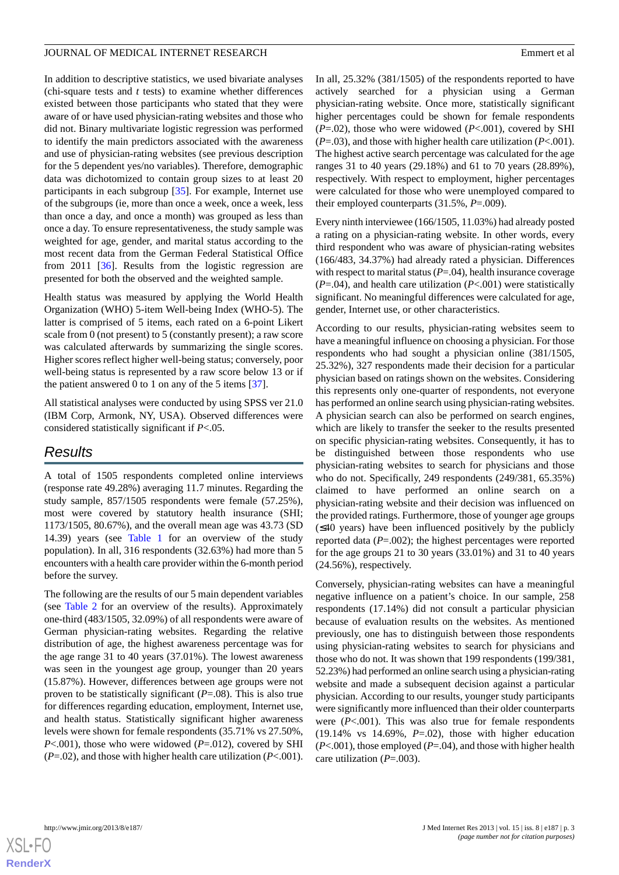In addition to descriptive statistics, we used bivariate analyses (chi-square tests and *t* tests) to examine whether differences existed between those participants who stated that they were aware of or have used physician-rating websites and those who did not. Binary multivariate logistic regression was performed to identify the main predictors associated with the awareness and use of physician-rating websites (see previous description for the 5 dependent yes/no variables). Therefore, demographic data was dichotomized to contain group sizes to at least 20 participants in each subgroup [[35\]](#page-14-1). For example, Internet use of the subgroups (ie, more than once a week, once a week, less than once a day, and once a month) was grouped as less than once a day. To ensure representativeness, the study sample was weighted for age, gender, and marital status according to the most recent data from the German Federal Statistical Office from 2011 [[36\]](#page-14-2). Results from the logistic regression are presented for both the observed and the weighted sample.

Health status was measured by applying the World Health Organization (WHO) 5-item Well-being Index (WHO-5). The latter is comprised of 5 items, each rated on a 6-point Likert scale from 0 (not present) to 5 (constantly present); a raw score was calculated afterwards by summarizing the single scores. Higher scores reflect higher well-being status; conversely, poor well-being status is represented by a raw score below 13 or if the patient answered 0 to 1 on any of the 5 items [\[37](#page-14-3)].

All statistical analyses were conducted by using SPSS ver 21.0 (IBM Corp, Armonk, NY, USA). Observed differences were considered statistically significant if *P*<.05.

# *Results*

A total of 1505 respondents completed online interviews (response rate 49.28%) averaging 11.7 minutes. Regarding the study sample, 857/1505 respondents were female (57.25%), most were covered by statutory health insurance (SHI; 1173/1505, 80.67%), and the overall mean age was 43.73 (SD 14.39) years (see [Table 1](#page-3-0) for an overview of the study population). In all, 316 respondents (32.63%) had more than 5 encounters with a health care provider within the 6-month period before the survey.

The following are the results of our 5 main dependent variables (see [Table 2](#page-5-0) for an overview of the results). Approximately one-third (483/1505, 32.09%) of all respondents were aware of German physician-rating websites. Regarding the relative distribution of age, the highest awareness percentage was for the age range 31 to 40 years (37.01%). The lowest awareness was seen in the youngest age group, younger than 20 years (15.87%). However, differences between age groups were not proven to be statistically significant (*P*=.08). This is also true for differences regarding education, employment, Internet use, and health status. Statistically significant higher awareness levels were shown for female respondents (35.71% vs 27.50%, *P*<.001), those who were widowed (*P*=.012), covered by SHI (*P*=.02), and those with higher health care utilization (*P*<.001).

In all, 25.32% (381/1505) of the respondents reported to have actively searched for a physician using a German physician-rating website. Once more, statistically significant higher percentages could be shown for female respondents (*P*=.02), those who were widowed (*P*<.001), covered by SHI (*P*=.03), and those with higher health care utilization (*P*<.001). The highest active search percentage was calculated for the age ranges 31 to 40 years (29.18%) and 61 to 70 years (28.89%), respectively. With respect to employment, higher percentages were calculated for those who were unemployed compared to their employed counterparts (31.5%, *P*=.009).

Every ninth interviewee (166/1505, 11.03%) had already posted a rating on a physician-rating website. In other words, every third respondent who was aware of physician-rating websites (166/483, 34.37%) had already rated a physician. Differences with respect to marital status ( $P = .04$ ), health insurance coverage (*P*=.04), and health care utilization (*P*<.001) were statistically significant. No meaningful differences were calculated for age, gender, Internet use, or other characteristics.

According to our results, physician-rating websites seem to have a meaningful influence on choosing a physician. For those respondents who had sought a physician online (381/1505, 25.32%), 327 respondents made their decision for a particular physician based on ratings shown on the websites. Considering this represents only one-quarter of respondents, not everyone has performed an online search using physician-rating websites. A physician search can also be performed on search engines, which are likely to transfer the seeker to the results presented on specific physician-rating websites. Consequently, it has to be distinguished between those respondents who use physician-rating websites to search for physicians and those who do not. Specifically, 249 respondents (249/381, 65.35%) claimed to have performed an online search on a physician-rating website and their decision was influenced on the provided ratings. Furthermore, those of younger age groups (≤40 years) have been influenced positively by the publicly reported data (*P*=.002); the highest percentages were reported for the age groups 21 to 30 years (33.01%) and 31 to 40 years (24.56%), respectively.

Conversely, physician-rating websites can have a meaningful negative influence on a patient's choice. In our sample, 258 respondents (17.14%) did not consult a particular physician because of evaluation results on the websites. As mentioned previously, one has to distinguish between those respondents using physician-rating websites to search for physicians and those who do not. It was shown that 199 respondents (199/381, 52.23%) had performed an online search using a physician-rating website and made a subsequent decision against a particular physician. According to our results, younger study participants were significantly more influenced than their older counterparts were (*P*<.001). This was also true for female respondents (19.14% vs 14.69%, *P*=.02), those with higher education (*P*<.001), those employed (*P*=.04), and those with higher health care utilization (*P*=.003).

**[RenderX](http://www.renderx.com/)**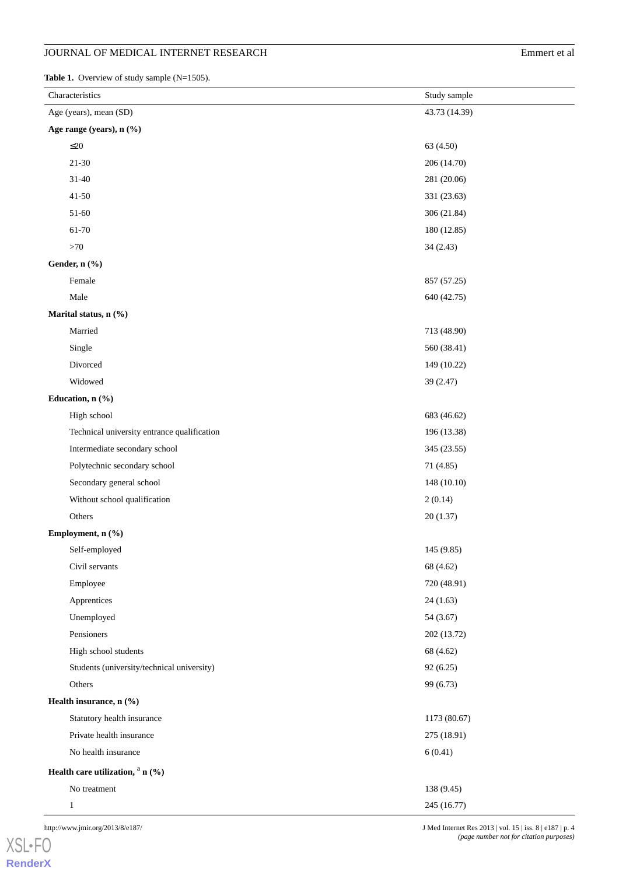<span id="page-3-0"></span>Table 1. Overview of study sample (N=1505).

| Characteristics                             | Study sample  |
|---------------------------------------------|---------------|
| Age (years), mean (SD)                      | 43.73 (14.39) |
| Age range (years), n (%)                    |               |
| $\leq 20$                                   | 63 (4.50)     |
| $21 - 30$                                   | 206 (14.70)   |
| $31 - 40$                                   | 281 (20.06)   |
| $41 - 50$                                   | 331 (23.63)   |
| $51-60$                                     | 306 (21.84)   |
| 61-70                                       | 180 (12.85)   |
| ${>}70$                                     | 34(2.43)      |
| Gender, n (%)                               |               |
| Female                                      | 857 (57.25)   |
| Male                                        | 640 (42.75)   |
| Marital status, n (%)                       |               |
| Married                                     | 713 (48.90)   |
| Single                                      | 560 (38.41)   |
| Divorced                                    | 149 (10.22)   |
| Widowed                                     | 39 (2.47)     |
| Education, n (%)                            |               |
| High school                                 | 683 (46.62)   |
| Technical university entrance qualification | 196 (13.38)   |
| Intermediate secondary school               | 345 (23.55)   |
| Polytechnic secondary school                | 71 (4.85)     |
| Secondary general school                    | 148 (10.10)   |
| Without school qualification                | 2(0.14)       |
| Others                                      | 20(1.37)      |
| Employment, n (%)                           |               |
| Self-employed                               | 145 (9.85)    |
| Civil servants                              | 68 (4.62)     |
| Employee                                    | 720 (48.91)   |
| Apprentices                                 | 24(1.63)      |
| Unemployed                                  | 54 (3.67)     |
| Pensioners                                  | 202 (13.72)   |
| High school students                        | 68 (4.62)     |
| Students (university/technical university)  | 92(6.25)      |
| Others                                      | 99 (6.73)     |
| Health insurance, n (%)                     |               |
| Statutory health insurance                  | 1173 (80.67)  |
| Private health insurance                    | 275 (18.91)   |
| No health insurance                         | 6(0.41)       |
| Health care utilization, $a_n$ (%)          |               |
| No treatment                                | 138 (9.45)    |
| $\mathbf{1}$                                | 245 (16.77)   |

http://www.jmir.org/2013/8/e187/ J Med Internet Res 2013 | vol. 15 | iss. 8 | e187 | p. 4

[XSL](http://www.w3.org/Style/XSL)•FO **[RenderX](http://www.renderx.com/)** *(page number not for citation purposes)*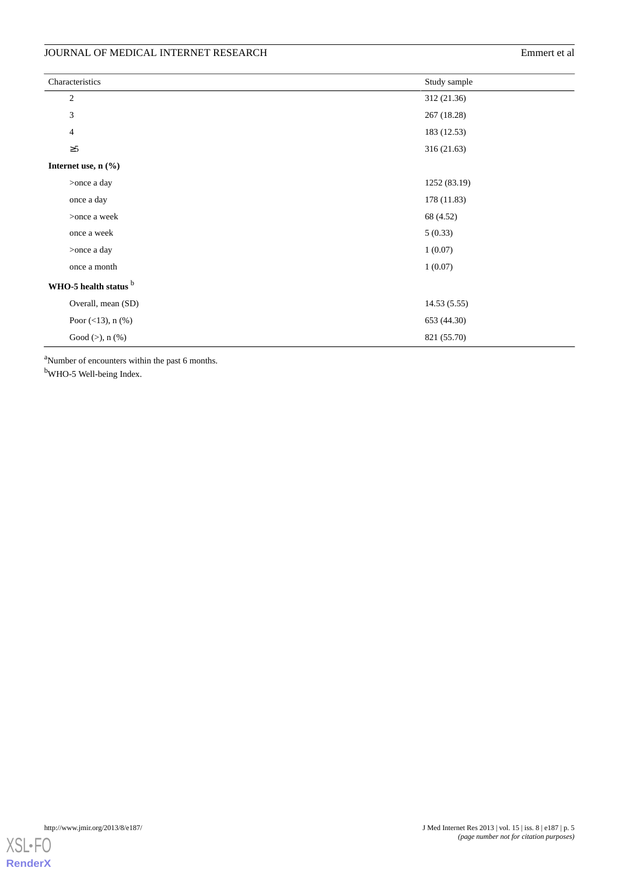| Characteristics                   | Study sample |
|-----------------------------------|--------------|
| $\overline{c}$                    | 312 (21.36)  |
| 3                                 | 267 (18.28)  |
| $\overline{4}$                    | 183 (12.53)  |
| $\geq 5$                          | 316 (21.63)  |
| Internet use, $n$ $(\frac{9}{6})$ |              |
| >once a day                       | 1252 (83.19) |
| once a day                        | 178 (11.83)  |
| >once a week                      | 68 (4.52)    |
| once a week                       | 5(0.33)      |
| >once a day                       | 1(0.07)      |
| once a month                      | 1(0.07)      |
| WHO-5 health status b             |              |
| Overall, mean (SD)                | 14.53(5.55)  |
| Poor $(<13)$ , n $(\%)$           | 653 (44.30)  |
| Good $(>)$ , n $(% )$             | 821 (55.70)  |

<sup>a</sup>Number of encounters within the past 6 months.

<sup>b</sup>WHO-5 Well-being Index.

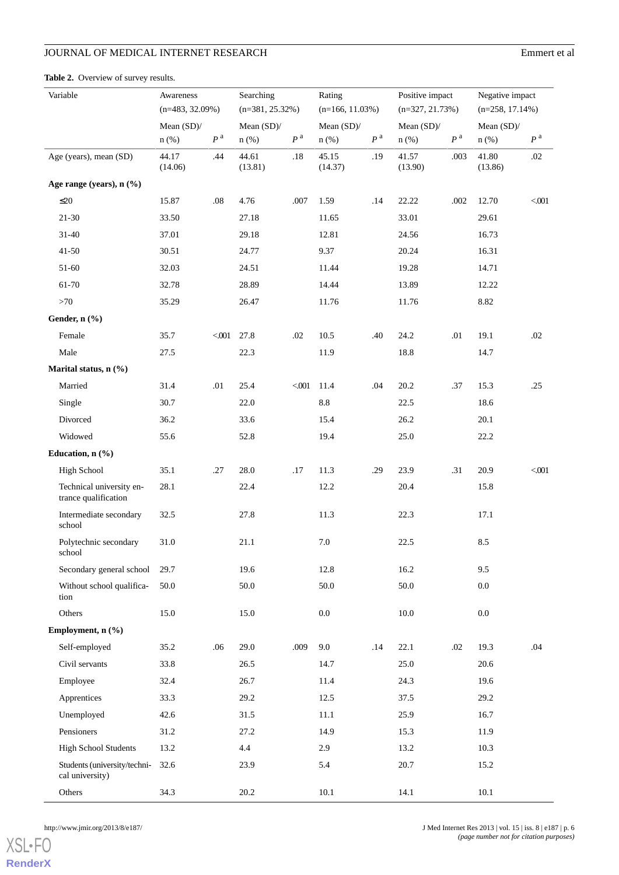<span id="page-5-0"></span>

| Variable                                         | Awareness<br>$(n=483, 32.09%)$ |                    | Searching<br>$(n=381, 25.32\%)$ |                | Rating<br>$(n=166, 11.03%)$ |                | Positive impact<br>$(n=327, 21.73%)$ |                    | Negative impact<br>$(n=258, 17.14\%)$ |                  |
|--------------------------------------------------|--------------------------------|--------------------|---------------------------------|----------------|-----------------------------|----------------|--------------------------------------|--------------------|---------------------------------------|------------------|
|                                                  | Mean $(SD)$ /                  |                    | Mean $(SD)$ /                   |                | Mean $(SD)$ /               |                | Mean $(SD)$ /                        |                    | Mean $(SD)$ /                         |                  |
|                                                  | $n$ (%)                        | $\boldsymbol{P}$ a | $n$ (%)                         | P <sup>a</sup> | $n$ (%)                     | P <sup>a</sup> | $n$ (%)                              | $\boldsymbol{P}$ a | $n$ (%)                               | $P^{\mathrm{a}}$ |
| Age (years), mean (SD)                           | 44.17<br>(14.06)               | .44                | 44.61<br>(13.81)                | .18            | 45.15<br>(14.37)            | .19            | 41.57<br>(13.90)                     | .003               | 41.80<br>(13.86)                      | .02              |
| Age range (years), n (%)                         |                                |                    |                                 |                |                             |                |                                      |                    |                                       |                  |
| $\leq$ 20                                        | 15.87                          | $.08\,$            | 4.76                            | .007           | 1.59                        | .14            | 22.22                                | .002               | 12.70                                 | < 001            |
| $21 - 30$                                        | 33.50                          |                    | 27.18                           |                | 11.65                       |                | 33.01                                |                    | 29.61                                 |                  |
| $31 - 40$                                        | 37.01                          |                    | 29.18                           |                | 12.81                       |                | 24.56                                |                    | 16.73                                 |                  |
| $41 - 50$                                        | 30.51                          |                    | 24.77                           |                | 9.37                        |                | 20.24                                |                    | 16.31                                 |                  |
| 51-60                                            | 32.03                          |                    | 24.51                           |                | 11.44                       |                | 19.28                                |                    | 14.71                                 |                  |
| 61-70                                            | 32.78                          |                    | 28.89                           |                | 14.44                       |                | 13.89                                |                    | 12.22                                 |                  |
| >70                                              | 35.29                          |                    | 26.47                           |                | 11.76                       |                | 11.76                                |                    | 8.82                                  |                  |
| Gender, n (%)                                    |                                |                    |                                 |                |                             |                |                                      |                    |                                       |                  |
| Female                                           | 35.7                           | < 001              | 27.8                            | .02            | 10.5                        | .40            | 24.2                                 | .01                | 19.1                                  | .02              |
| Male                                             | 27.5                           |                    | 22.3                            |                | 11.9                        |                | 18.8                                 |                    | 14.7                                  |                  |
| Marital status, n (%)                            |                                |                    |                                 |                |                             |                |                                      |                    |                                       |                  |
| Married                                          | 31.4                           | .01                | 25.4                            | < 001          | 11.4                        | .04            | 20.2                                 | .37                | 15.3                                  | .25              |
| Single                                           | 30.7                           |                    | 22.0                            |                | $8.8\,$                     |                | 22.5                                 |                    | 18.6                                  |                  |
| Divorced                                         | 36.2                           |                    | 33.6                            |                | 15.4                        |                | 26.2                                 |                    | 20.1                                  |                  |
| Widowed                                          | 55.6                           |                    | 52.8                            |                | 19.4                        |                | 25.0                                 |                    | 22.2                                  |                  |
| Education, n (%)                                 |                                |                    |                                 |                |                             |                |                                      |                    |                                       |                  |
| <b>High School</b>                               | 35.1                           | .27                | 28.0                            | .17            | 11.3                        | .29            | 23.9                                 | .31                | 20.9                                  | $001$            |
| Technical university en-<br>trance qualification | 28.1                           |                    | 22.4                            |                | 12.2                        |                | 20.4                                 |                    | 15.8                                  |                  |
| Intermediate secondary<br>school                 | 32.5                           |                    | 27.8                            |                | 11.3                        |                | 22.3                                 |                    | 17.1                                  |                  |
| Polytechnic secondary<br>school                  | 31.0                           |                    | 21.1                            |                | $7.0\,$                     |                | 22.5                                 |                    | $8.5\,$                               |                  |
| Secondary general school                         | 29.7                           |                    | 19.6                            |                | 12.8                        |                | 16.2                                 |                    | 9.5                                   |                  |
| Without school qualifica-<br>tion                | 50.0                           |                    | 50.0                            |                | 50.0                        |                | 50.0                                 |                    | $0.0\,$                               |                  |
| Others                                           | 15.0                           |                    | 15.0                            |                | $0.0\,$                     |                | 10.0                                 |                    | $0.0\,$                               |                  |
| Employment, n (%)                                |                                |                    |                                 |                |                             |                |                                      |                    |                                       |                  |
| Self-employed                                    | 35.2                           | .06                | 29.0                            | .009           | 9.0                         | .14            | 22.1                                 | .02                | 19.3                                  | .04              |
| Civil servants                                   | 33.8                           |                    | 26.5                            |                | 14.7                        |                | 25.0                                 |                    | 20.6                                  |                  |
| Employee                                         | 32.4                           |                    | 26.7                            |                | 11.4                        |                | 24.3                                 |                    | 19.6                                  |                  |
| Apprentices                                      | 33.3                           |                    | 29.2                            |                | 12.5                        |                | 37.5                                 |                    | 29.2                                  |                  |
| Unemployed                                       | 42.6                           |                    | 31.5                            |                | 11.1                        |                | 25.9                                 |                    | 16.7                                  |                  |
| Pensioners                                       | 31.2                           |                    | 27.2                            |                | 14.9                        |                | 15.3                                 |                    | 11.9                                  |                  |
| <b>High School Students</b>                      | 13.2                           |                    | 4.4                             |                | 2.9                         |                | 13.2                                 |                    | 10.3                                  |                  |
| Students (university/techni-<br>cal university)  | 32.6                           |                    | 23.9                            |                | 5.4                         |                | 20.7                                 |                    | 15.2                                  |                  |
| Others                                           | 34.3                           |                    | $20.2\,$                        |                | $10.1\,$                    |                | 14.1                                 |                    | $10.1\,$                              |                  |

[XSL](http://www.w3.org/Style/XSL)•FO **[RenderX](http://www.renderx.com/)**

http://www.jmir.org/2013/8/e187/ J Med Internet Res 2013 | vol. 15 | iss. 8 | e187 | p. 6 *(page number not for citation purposes)*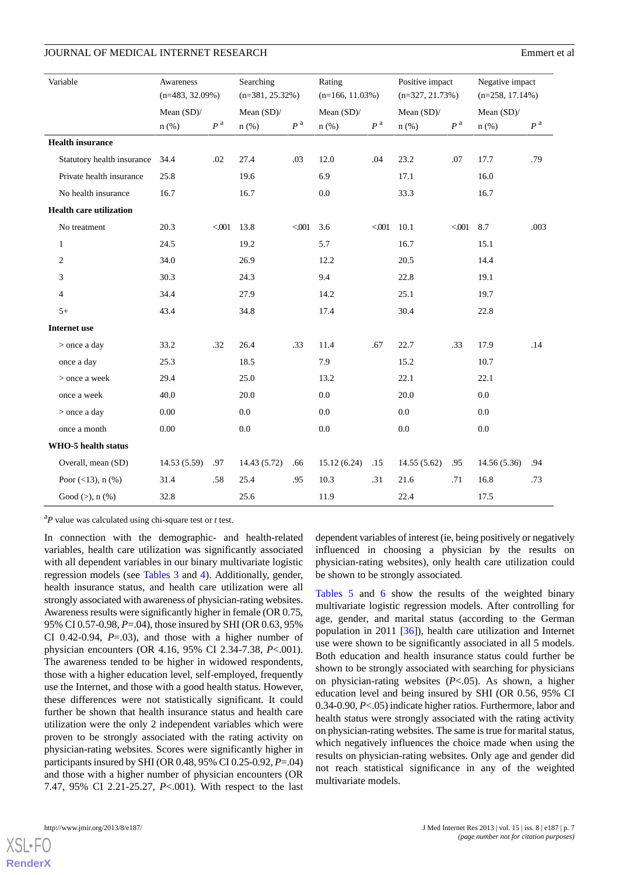| Variable |                                | Awareness          |                    | Searching          |                    |                   |                    | Positive impact   |                    | Negative impact    |                |
|----------|--------------------------------|--------------------|--------------------|--------------------|--------------------|-------------------|--------------------|-------------------|--------------------|--------------------|----------------|
|          |                                | $(n=483, 32.09\%)$ |                    | $(n=381, 25.32\%)$ |                    | $(n=166, 11.03%)$ |                    | $(n=327, 21.73%)$ |                    | $(n=258, 17.14\%)$ |                |
|          |                                | Mean (SD)/         |                    | Mean (SD)/         |                    | Mean (SD)/        |                    | Mean (SD)/        |                    | Mean (SD)/         |                |
|          |                                | $n$ (%)            | $\boldsymbol{P}$ a | $n$ (%)            | $\boldsymbol{P}$ a | $n$ (%)           | $\boldsymbol{P}$ a | $n$ (%)           | $\boldsymbol{P}$ a | $n$ (%)            | $P^{\text{a}}$ |
|          | <b>Health insurance</b>        |                    |                    |                    |                    |                   |                    |                   |                    |                    |                |
|          | Statutory health insurance     | 34.4               | .02                | 27.4               | .03                | 12.0              | .04                | 23.2              | .07                | 17.7               | .79            |
|          | Private health insurance       | 25.8               |                    | 19.6               |                    | 6.9               |                    | 17.1              |                    | 16.0               |                |
|          | No health insurance            | 16.7               |                    | 16.7               |                    | 0.0               |                    | 33.3              |                    | 16.7               |                |
|          | <b>Health care utilization</b> |                    |                    |                    |                    |                   |                    |                   |                    |                    |                |
|          | No treatment                   | 20.3               | < 001              | 13.8               | < 001              | 3.6               | $001$              | 10.1              | $001$              | 8.7                | .003           |
|          | $\mathbf{1}$                   | 24.5               |                    | 19.2               |                    | 5.7               |                    | 16.7              |                    | 15.1               |                |
|          | $\overline{c}$                 | 34.0               |                    | 26.9               |                    | 12.2              |                    | 20.5              |                    | 14.4               |                |
|          | 3                              | 30.3               |                    | 24.3               |                    | 9.4               |                    | 22.8              |                    | 19.1               |                |
|          | $\overline{4}$                 | 34.4               |                    | 27.9               |                    | 14.2              |                    | 25.1              |                    | 19.7               |                |
|          | $5+$                           | 43.4               |                    | 34.8               |                    | 17.4              |                    | 30.4              |                    | 22.8               |                |
|          | <b>Internet</b> use            |                    |                    |                    |                    |                   |                    |                   |                    |                    |                |
|          | > once a day                   | 33.2               | .32                | 26.4               | .33                | 11.4              | .67                | 22.7              | .33                | 17.9               | .14            |
|          | once a day                     | 25.3               |                    | 18.5               |                    | 7.9               |                    | 15.2              |                    | 10.7               |                |
|          | > once a week                  | 29.4               |                    | 25.0               |                    | 13.2              |                    | 22.1              |                    | 22.1               |                |
|          | once a week                    | 40.0               |                    | 20.0               |                    | 0.0               |                    | 20.0              |                    | 0.0                |                |
|          | > once a day                   | 0.00               |                    | 0.0                |                    | 0.0               |                    | 0.0               |                    | 0.0                |                |
|          | once a month                   | 0.00               |                    | $0.0\,$            |                    | $0.0\,$           |                    | $0.0\,$           |                    | 0.0                |                |
|          | <b>WHO-5 health status</b>     |                    |                    |                    |                    |                   |                    |                   |                    |                    |                |
|          | Overall, mean (SD)             | 14.53(5.59)        | .97                | 14.43 (5.72)       | .66                | 15.12(6.24)       | .15                | 14.55(5.62)       | .95                | 14.56 (5.36)       | .94            |
|          | Poor $(<13)$ , n $(\% )$       | 31.4               | .58                | 25.4               | .95                | 10.3              | .31                | 21.6              | .71                | 16.8               | .73            |
|          | Good $(>)$ , n $(% )$          | 32.8               |                    | 25.6               |                    | 11.9              |                    | 22.4              |                    | 17.5               |                |

<sup>a</sup>*P* value was calculated using chi-square test or *t* test.

In connection with the demographic- and health-related variables, health care utilization was significantly associated with all dependent variables in our binary multivariate logistic regression models (see [Tables 3](#page-7-0) and [4\)](#page-8-0). Additionally, gender, health insurance status, and health care utilization were all strongly associated with awareness of physician-rating websites. Awareness results were significantly higher in female (OR 0.75, 95% CI 0.57-0.98, *P*=.04), those insured by SHI (OR 0.63, 95% CI 0.42-0.94, *P*=.03), and those with a higher number of physician encounters (OR 4.16, 95% CI 2.34-7.38, *P*<.001). The awareness tended to be higher in widowed respondents, those with a higher education level, self-employed, frequently use the Internet, and those with a good health status. However, these differences were not statistically significant. It could further be shown that health insurance status and health care utilization were the only 2 independent variables which were proven to be strongly associated with the rating activity on physician-rating websites. Scores were significantly higher in participants insured by SHI (OR 0.48, 95% CI 0.25-0.92, *P*=.04) and those with a higher number of physician encounters (OR 7.47, 95% CI 2.21-25.27, *P*<.001). With respect to the last

dependent variables of interest (ie, being positively or negatively influenced in choosing a physician by the results on physician-rating websites), only health care utilization could be shown to be strongly associated.

[Tables 5](#page-9-0) and [6](#page-10-0) show the results of the weighted binary multivariate logistic regression models. After controlling for age, gender, and marital status (according to the German population in 2011 [\[36](#page-14-2)]), health care utilization and Internet use were shown to be significantly associated in all 5 models. Both education and health insurance status could further be shown to be strongly associated with searching for physicians on physician-rating websites (*P*<.05). As shown, a higher education level and being insured by SHI (OR 0.56, 95% CI 0.34-0.90, *P*<.05) indicate higher ratios. Furthermore, labor and health status were strongly associated with the rating activity on physician-rating websites. The same is true for marital status, which negatively influences the choice made when using the results on physician-rating websites. Only age and gender did not reach statistical significance in any of the weighted multivariate models.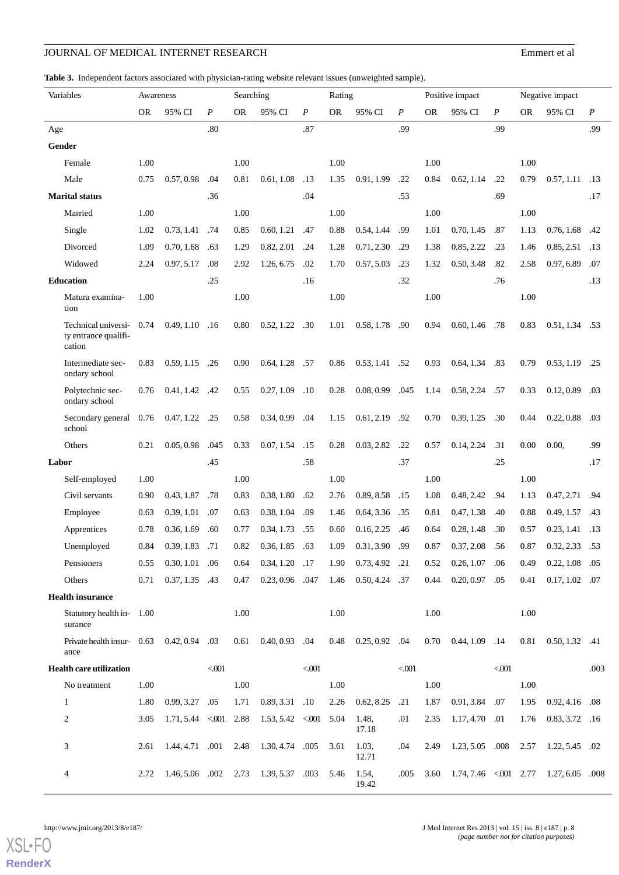#### <span id="page-7-0"></span>**Table 3.** Independent factors associated with physician-rating website relevant issues (unweighted sample).

| Variables                                             | Awareness |                         |                  | Searching |                               |                  | Rating    |                  |                  |           | Positive impact                                 |                  |           | Negative impact                   |                  |
|-------------------------------------------------------|-----------|-------------------------|------------------|-----------|-------------------------------|------------------|-----------|------------------|------------------|-----------|-------------------------------------------------|------------------|-----------|-----------------------------------|------------------|
|                                                       | <b>OR</b> | 95% CI                  | $\boldsymbol{P}$ | <b>OR</b> | 95% CI                        | $\boldsymbol{P}$ | <b>OR</b> | 95% CI           | $\boldsymbol{P}$ | <b>OR</b> | 95% CI                                          | $\boldsymbol{P}$ | <b>OR</b> | 95% CI                            | $\boldsymbol{P}$ |
| Age                                                   |           |                         | .80              |           |                               | .87              |           |                  | .99              |           |                                                 | .99              |           |                                   | .99              |
| Gender                                                |           |                         |                  |           |                               |                  |           |                  |                  |           |                                                 |                  |           |                                   |                  |
| Female                                                | 1.00      |                         |                  | 1.00      |                               |                  | 1.00      |                  |                  | 1.00      |                                                 |                  | 1.00      |                                   |                  |
| Male                                                  | 0.75      | 0.57, 0.98              | .04              | 0.81      | 0.61, 1.08                    | .13              | 1.35      | 0.91, 1.99       | .22              | 0.84      | 0.62, 1.14                                      | .22              | 0.79      | $0.57, 1.11$ .13                  |                  |
| <b>Marital status</b>                                 |           |                         | .36              |           |                               | .04              |           |                  | .53              |           |                                                 | .69              |           |                                   | .17              |
| Married                                               | 1.00      |                         |                  | 1.00      |                               |                  | 1.00      |                  |                  | 1.00      |                                                 |                  | 1.00      |                                   |                  |
| Single                                                | 1.02      | 0.73, 1.41              | .74              | 0.85      | 0.60, 1.21                    | .47              | 0.88      | 0.54, 1.44       | .99              | 1.01      | 0.70, 1.45                                      | .87              | 1.13      | 0.76, 1.68                        | .42              |
| Divorced                                              | 1.09      | 0.70, 1.68              | .63              | 1.29      | 0.82, 2.01                    | .24              | 1.28      | 0.71, 2.30       | .29              | 1.38      | 0.85, 2.22                                      | .23              | 1.46      | 0.85, 2.51                        | .13              |
| Widowed                                               | 2.24      | 0.97, 5.17              | .08              | 2.92      | 1.26, 6.75                    | .02              | 1.70      | 0.57, 5.03       | .23              | 1.32      | 0.50, 3.48                                      | .82              | 2.58      | 0.97, 6.89                        | .07              |
| <b>Education</b>                                      |           |                         | .25              |           |                               | .16              |           |                  | .32              |           |                                                 | .76              |           |                                   | .13              |
| Matura examina-<br>tion                               | 1.00      |                         |                  | 1.00      |                               |                  | 1.00      |                  |                  | 1.00      |                                                 |                  | 1.00      |                                   |                  |
| Technical universi-<br>ty entrance qualifi-<br>cation | 0.74      | 0.49, 1.10              | .16              | 0.80      | $0.52, 1.22$ .30              |                  | 1.01      | 0.58, 1.78       | .90              | 0.94      | $0.60, 1.46$ .78                                |                  | 0.83      | $0.51, 1.34$ .53                  |                  |
| Intermediate sec-<br>ondary school                    | 0.83      | $0.59, 1.15$ .26        |                  | 0.90      | $0.64, 1.28$ .57              |                  | 0.86      | 0.53, 1.41       | .52              | 0.93      | $0.64, 1.34$ .83                                |                  | 0.79      | 0.53, 1.19                        | .25              |
| Polytechnic sec-<br>ondary school                     | 0.76      | $0.41, 1.42$ .42        |                  | 0.55      | 0.27, 1.09                    | .10              | 0.28      | 0.08, 0.99       | .045             | 1.14      | $0.58, 2.24$ .57                                |                  | 0.33      | 0.12, 0.89                        | .03              |
| Secondary general 0.76<br>school                      |           | 0.47, 1.22              | .25              | 0.58      | 0.34, 0.99                    | .04              | 1.15      | 0.61, 2.19       | .92              | 0.70      | 0.39, 1.25                                      | .30              | 0.44      | 0.22, 0.88                        | .03              |
| Others                                                | 0.21      | 0.05, 0.98              | .045             | 0.33      | 0.07, 1.54                    | .15              | 0.28      | 0.03, 2.82       | .22              | 0.57      | 0.14, 2.24                                      | .31              | 0.00      | 0.00,                             | .99              |
| Labor                                                 |           |                         | .45              |           |                               | .58              |           |                  | .37              |           |                                                 | .25              |           |                                   | .17              |
| Self-employed                                         | 1.00      |                         |                  | 1.00      |                               |                  | 1.00      |                  |                  | 1.00      |                                                 |                  | 1.00      |                                   |                  |
| Civil servants                                        | 0.90      | 0.43, 1.87              | .78              | 0.83      | 0.38, 1.80                    | .62              | 2.76      | 0.89, 8.58       | .15              | 1.08      | 0.48, 2.42                                      | .94              | 1.13      | 0.47, 2.71 .94                    |                  |
| Employee                                              | 0.63      | 0.39, 1.01              | .07              | 0.63      | 0.38, 1.04                    | .09              | 1.46      | 0.64, 3.36       | .35              | 0.81      | 0.47, 1.38                                      | .40              | 0.88      | 0.49, 1.57                        | .43              |
| Apprentices                                           | 0.78      | 0.36, 1.69              | .60              | 0.77      | 0.34, 1.73                    | .55              | 0.60      | 0.16, 2.25       | .46              | 0.64      | 0.28, 1.48                                      | .30              | 0.57      | 0.23, 1.41                        | .13              |
| Unemployed                                            | 0.84      | 0.39, 1.83 .71          |                  | 0.82      | $0.36, 1.85$ .63              |                  | 1.09      | 0.31, 3.90       | .99              | 0.87      | 0.37, 2.08                                      | .56              | 0.87      | $0.32, 2.33$ .53                  |                  |
| Pensioners                                            | 0.55      | $0.30, 1.01$ .06        |                  | 0.64      | $0.34, 1.20$ .17              |                  | 1.90      | $0.73, 4.92$ .21 |                  | 0.52      | $0.26, 1.07$ .06                                |                  | 0.49      | $0.22, 1.08$ .05                  |                  |
| Others                                                | 0.71      | $0.37, 1.35$ .43        |                  | 0.47      | 0.23, 0.96 .047               |                  | 1.46      | $0.50, 4.24$ .37 |                  | 0.44      | $0.20, 0.97$ .05                                |                  | 0.41      | $0.17, 1.02$ .07                  |                  |
| <b>Health insurance</b>                               |           |                         |                  |           |                               |                  |           |                  |                  |           |                                                 |                  |           |                                   |                  |
| Statutory health in- 1.00<br>surance                  |           |                         |                  | 1.00      |                               |                  | 1.00      |                  |                  | 1.00      |                                                 |                  | 1.00      |                                   |                  |
| Private health insur- $0.63$ $0.42, 0.94$ .03<br>ance |           |                         |                  |           | $0.61$ $0.40, 0.93$ .04       |                  | 0.48      | $0.25, 0.92$ .04 |                  |           | $0.70$ $0.44$ , $1.09$ $.14$                    |                  |           | $0.81 \quad 0.50, 1.32 \quad .41$ |                  |
| Health care utilization                               |           |                         | $<0.01$          |           |                               | $<0.01$          |           |                  | $<0.01$          |           |                                                 | $<001$           |           |                                   | .003             |
| No treatment                                          | 1.00      |                         |                  | 1.00      |                               |                  | 1.00      |                  |                  | 1.00      |                                                 |                  | 1.00      |                                   |                  |
| $\mathbf{1}$                                          | 1.80      | $0.99, 3.27$ .05        |                  | 1.71      | $0.89, 3.31$ .10              |                  | 2.26      | 0.62, 8.25       | .21              | 1.87      | 0.91, 3.84 .07                                  |                  | 1.95      | $0.92, 4.16$ .08                  |                  |
| 2                                                     | 3.05      | $1.71, 5.44 < 001$ 2.88 |                  |           | $1.53, 5.42 \leq 0.01 \ 5.04$ |                  |           | 1.48,<br>17.18   | .01              | 2.35      | 1.17, 4.70 .01                                  |                  | 1.76      | $0.83, 3.72$ .16                  |                  |
| 3                                                     | 2.61      | 1.44, 4.71 .001         |                  | 2.48      | 1.30, 4.74 .005               |                  | 3.61      | 1.03,<br>12.71   | .04              | 2.49      | 1.23, 5.05 .008                                 |                  | 2.57      | $1.22, 5.45$ .02                  |                  |
| 4                                                     | 2.72      | 1.46, 5.06 .002 2.73    |                  |           | 1.39, 5.37 .003               |                  | 5.46      | 1.54,<br>19.42   | .005             |           | 3.60 1.74, 7.46 $\lt 0.01$ 2.77 1.27, 6.05 .008 |                  |           |                                   |                  |

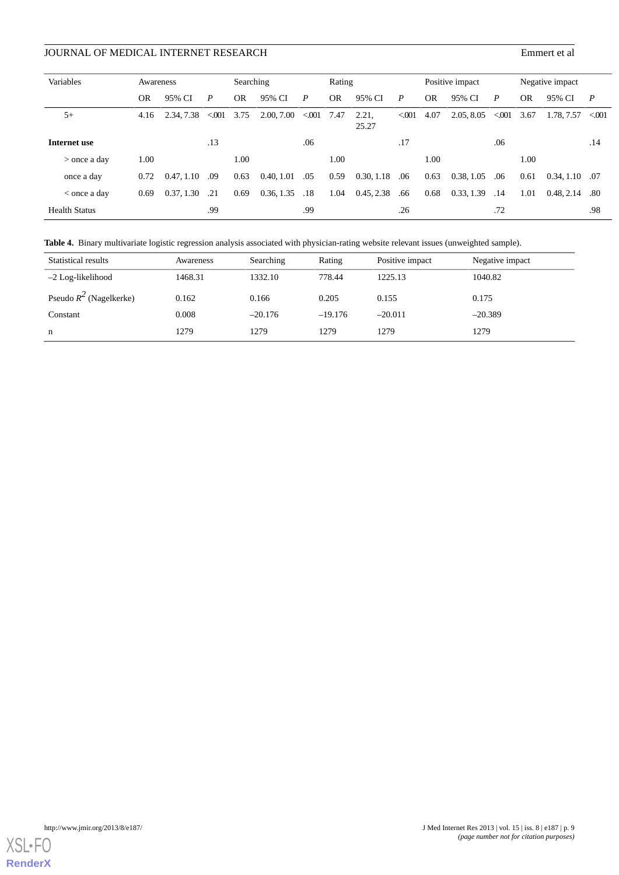| Variables            | Awareness |            |         | Searching |            |              | Rating    |                |       |           | Positive impact |       |           | Negative impact    |                |  |
|----------------------|-----------|------------|---------|-----------|------------|--------------|-----------|----------------|-------|-----------|-----------------|-------|-----------|--------------------|----------------|--|
|                      | <b>OR</b> | 95% CI     | P       | <b>OR</b> | 95% CI     | P            | <b>OR</b> | 95% CI         | P     | <b>OR</b> | 95% CI          | P     | <b>OR</b> | 95% CI             | $\overline{P}$ |  |
| $5+$                 | 4.16      | 2.34, 7.38 | < 0.001 | 3.75      | 2.00, 7.00 | $< 001$ 7.47 |           | 2.21,<br>25.27 | < 001 | 4.07      | 2.05, 8.05      | < 001 | 3.67      | 1.78, 7.57 < 0.001 |                |  |
| Internet use         |           |            | .13     |           |            | .06          |           |                | .17   |           |                 | .06   |           |                    | .14            |  |
| $>$ once a day       | 1.00      |            |         | 1.00      |            |              | 1.00      |                |       | 1.00      |                 |       | 1.00      |                    |                |  |
| once a day           | 0.72      | 0.47, 1.10 | .09     | 0.63      | 0.40, 1.01 | .05          | 0.59      | 0.30, 1.18     | .06   | 0.63      | 0.38, 1.05      | .06   | 0.61      | $0.34, 1.10$ .07   |                |  |
| $<$ once a day       | 0.69      | 0.37, 1.30 | .21     | 0.69      | 0.36, 1.35 | .18          | 1.04      | 0.45, 2.38     | .66   | 0.68      | 0.33, 1.39      | .14   | 1.01      | 0.48, 2.14         | .80            |  |
| <b>Health Status</b> |           |            | .99     |           |            | .99          |           |                | .26   |           |                 | .72   |           |                    | .98            |  |

<span id="page-8-0"></span>**Table 4.** Binary multivariate logistic regression analysis associated with physician-rating website relevant issues (unweighted sample).

| Statistical results       | Awareness | Searching | Rating    | Positive impact | Negative impact |
|---------------------------|-----------|-----------|-----------|-----------------|-----------------|
| $-2$ Log-likelihood       | 1468.31   | 1332.10   | 778.44    | 1225.13         | 1040.82         |
| Pseudo $R^2$ (Nagelkerke) | 0.162     | 0.166     | 0.205     | 0.155           | 0.175           |
| Constant                  | 0.008     | $-20.176$ | $-19.176$ | $-20.011$       | $-20.389$       |
| n                         | 1279      | 1279      | 1279      | 1279            | 1279            |

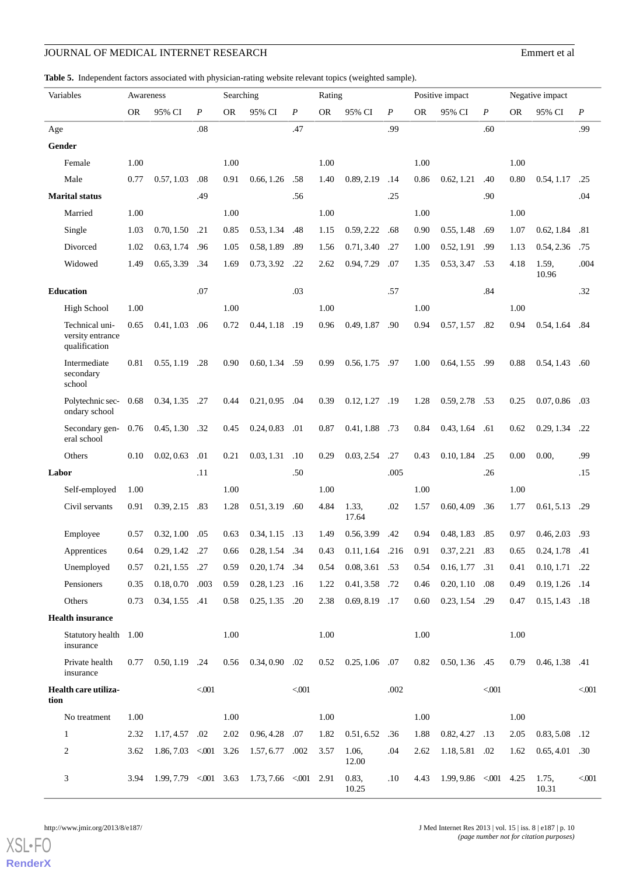<span id="page-9-0"></span>**Table 5.** Independent factors associated with physician-rating website relevant topics (weighted sample).

| Variables        |                                                     | Awareness |                         |                  | Searching<br>Positive impact<br>Rating |                        |                  |           |                   | Negative impact  |           |                   |                  |           |                  |       |
|------------------|-----------------------------------------------------|-----------|-------------------------|------------------|----------------------------------------|------------------------|------------------|-----------|-------------------|------------------|-----------|-------------------|------------------|-----------|------------------|-------|
|                  |                                                     | <b>OR</b> | 95% CI                  | $\boldsymbol{P}$ | <b>OR</b>                              | 95% CI                 | $\boldsymbol{P}$ | <b>OR</b> | 95% CI            | $\boldsymbol{P}$ | <b>OR</b> | 95% CI            | $\boldsymbol{P}$ | <b>OR</b> | 95% CI           | P     |
| Age              |                                                     |           |                         | .08              |                                        |                        | .47              |           |                   | .99              |           |                   | .60              |           |                  | .99   |
| Gender           |                                                     |           |                         |                  |                                        |                        |                  |           |                   |                  |           |                   |                  |           |                  |       |
|                  | Female                                              | 1.00      |                         |                  | 1.00                                   |                        |                  | 1.00      |                   |                  | 1.00      |                   |                  | 1.00      |                  |       |
|                  | Male                                                | 0.77      | 0.57, 1.03              | .08              | 0.91                                   | 0.66, 1.26             | .58              | 1.40      | 0.89, 2.19        | .14              | 0.86      | 0.62, 1.21        | .40              | 0.80      | 0.54, 1.17       | .25   |
|                  | <b>Marital status</b>                               |           |                         | .49              |                                        |                        | .56              |           |                   | .25              |           |                   | .90              |           |                  | .04   |
|                  | Married                                             | 1.00      |                         |                  | 1.00                                   |                        |                  | 1.00      |                   |                  | 1.00      |                   |                  | 1.00      |                  |       |
|                  | Single                                              | 1.03      | 0.70, 1.50              | .21              | 0.85                                   | 0.53, 1.34             | .48              | 1.15      | 0.59, 2.22        | .68              | 0.90      | 0.55, 1.48        | .69              | 1.07      | 0.62, 1.84       | .81   |
|                  | Divorced                                            | 1.02      | 0.63, 1.74              | .96              | 1.05                                   | 0.58, 1.89             | .89              | 1.56      | 0.71, 3.40        | .27              | 1.00      | 0.52, 1.91        | .99              | 1.13      | 0.54, 2.36       | .75   |
|                  | Widowed                                             | 1.49      | 0.65, 3.39              | .34              | 1.69                                   | 0.73, 3.92             | .22              | 2.62      | 0.94, 7.29        | .07              | 1.35      | 0.53, 3.47        | .53              | 4.18      | 1.59,<br>10.96   | .004  |
| <b>Education</b> |                                                     |           |                         | .07              |                                        |                        | .03              |           |                   | .57              |           |                   | .84              |           |                  | .32   |
|                  | <b>High School</b>                                  | 1.00      |                         |                  | 1.00                                   |                        |                  | 1.00      |                   |                  | 1.00      |                   |                  | 1.00      |                  |       |
|                  | Technical uni-<br>versity entrance<br>qualification | 0.65      | 0.41, 1.03              | .06              | 0.72                                   | 0.44, 1.18             | .19              | 0.96      | 0.49, 1.87        | .90              | 0.94      | 0.57, 1.57        | .82              | 0.94      | 0.54, 1.64       | .84   |
|                  | Intermediate<br>secondary<br>school                 | 0.81      | 0.55, 1.19              | .28              | 0.90                                   | 0.60, 1.34 .59         |                  | 0.99      | $0.56, 1.75$ .97  |                  | 1.00      | 0.64, 1.55        | .99              | 0.88      | 0.54, 1.43       | .60   |
|                  | Polytechnic sec-<br>ondary school                   | 0.68      | 0.34, 1.35              | .27              | 0.44                                   | 0.21, 0.95             | .04              | 0.39      | 0.12, 1.27        | .19              | 1.28      | 0.59, 2.78        | .53              | 0.25      | $0.07, 0.86$ .03 |       |
|                  | Secondary gen-<br>eral school                       | 0.76      | 0.45, 1.30              | .32              | 0.45                                   | 0.24, 0.83             | .01              | 0.87      | 0.41, 1.88 .73    |                  | 0.84      | 0.43, 1.64        | .61              | 0.62      | 0.29, 1.34       | .22   |
|                  | Others                                              | 0.10      | 0.02, 0.63              | .01              | 0.21                                   | 0.03, 1.31             | .10              | 0.29      | 0.03, 2.54        | .27              | 0.43      | 0.10, 1.84        | .25              | 0.00      | 0.00,            | .99   |
| Labor            |                                                     |           |                         | .11              |                                        |                        | .50              |           |                   | .005             |           |                   | .26              |           |                  | .15   |
|                  | Self-employed                                       | 1.00      |                         |                  | 1.00                                   |                        |                  | 1.00      |                   |                  | 1.00      |                   |                  | 1.00      |                  |       |
|                  | Civil servants                                      | 0.91      | 0.39, 2.15              | .83              | 1.28                                   | 0.51, 3.19             | .60              | 4.84      | 1.33,<br>17.64    | .02              | 1.57      | 0.60, 4.09        | .36              | 1.77      | 0.61, 5.13       | .29   |
|                  | Employee                                            | 0.57      | 0.32, 1.00              | .05              | 0.63                                   | 0.34, 1.15             | .13              | 1.49      | 0.56, 3.99        | .42              | 0.94      | 0.48, 1.83        | .85              | 0.97      | 0.46, 2.03       | .93   |
|                  | Apprentices                                         | 0.64      | 0.29, 1.42              | .27              | 0.66                                   | 0.28, 1.54             | .34              | 0.43      | $0.11, 1.64$ .216 |                  | 0.91      | 0.37, 2.21        | .83              | 0.65      | 0.24, 1.78       | .41   |
|                  | Unemployed                                          | 0.57      | 0.21, 1.55              | .27              | 0.59                                   | 0.20, 1.74             | .34              | 0.54      | $0.08, 3.61$ .53  |                  | 0.54      | 0.16, 1.77        | .31              | 0.41      | $0.10, 1.71$ .22 |       |
|                  | Pensioners                                          | 0.35      | $0.18, 0.70$ .003       |                  | 0.59                                   | $0.28, 1.23$ .16       |                  | 1.22      | 0.41, 3.58 .72    |                  | 0.46      | 0.20, 1.10        | .08              | 0.49      | 0.19, 1.26 .14   |       |
|                  | Others                                              | 0.73      | $0.34, 1.55$ .41        |                  | 0.58                                   | $0.25, 1.35$ .20       |                  | 2.38      | $0.69, 8.19$ .17  |                  | 0.60      | $0.23, 1.54$ .29  |                  | 0.47      | $0.15, 1.43$ .18 |       |
|                  | <b>Health insurance</b>                             |           |                         |                  |                                        |                        |                  |           |                   |                  |           |                   |                  |           |                  |       |
|                  | Statutory health 1.00<br>insurance                  |           |                         |                  | 1.00                                   |                        |                  | 1.00      |                   |                  | 1.00      |                   |                  | 1.00      |                  |       |
|                  | Private health<br>insurance                         | 0.77      | 0.50, 1.19              | .24              | 0.56                                   | $0.34, 0.90$ .02       |                  | 0.52      | $0.25, 1.06$ .07  |                  | 0.82      | 0.50, 1.36        | .45              | 0.79      | $0.46, 1.38$ .41 |       |
| tion             | Health care utiliza-                                |           |                         | $<001$           |                                        |                        | $<001$           |           |                   | .002             |           |                   | $<001$           |           |                  | < 001 |
|                  | No treatment                                        | 1.00      |                         |                  | 1.00                                   |                        |                  | 1.00      |                   |                  | 1.00      |                   |                  | 1.00      |                  |       |
| 1                |                                                     | 2.32      | 1.17, 4.57              | .02              | 2.02                                   | $0.96, 4.28$ .07       |                  | 1.82      | $0.51, 6.52$ .36  |                  | 1.88      | 0.82, 4.27        | .13              | 2.05      | 0.83, 5.08 .12   |       |
| 2                |                                                     | 3.62      | $1.86, 7.03$ < 001 3.26 |                  |                                        | 1.57, 6.77 .002        |                  | 3.57      | 1.06,<br>12.00    | .04              | 2.62      | 1.18, 5.81 .02    |                  | 1.62      | 0.65, 4.01       | .30   |
| 3                |                                                     | 3.94      | $1.99, 7.79 < 001$ 3.63 |                  |                                        | $1.73, 7.66 \le 0.001$ |                  | 2.91      | 0.83,<br>10.25    | .10              | 4.43      | 1.99, 9.86 < 0.01 |                  | 4.25      | 1.75,<br>10.31   | < 001 |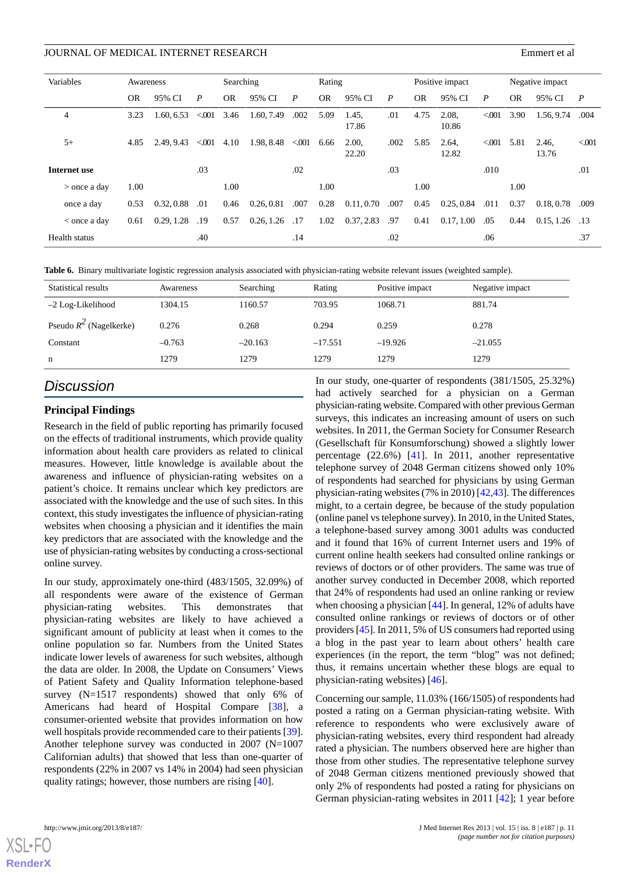| Variables      | Awareness |            |                  | Searching |            |                  | Rating    |                |                  |           | Positive impact |       |           | Negative impact  |                  |
|----------------|-----------|------------|------------------|-----------|------------|------------------|-----------|----------------|------------------|-----------|-----------------|-------|-----------|------------------|------------------|
|                | <b>OR</b> | 95% CI     | $\boldsymbol{P}$ | <b>OR</b> | 95% CI     | $\boldsymbol{P}$ | <b>OR</b> | 95% CI         | $\boldsymbol{P}$ | <b>OR</b> | 95% CI          | P     | <b>OR</b> | 95% CI           | $\boldsymbol{P}$ |
| $\overline{4}$ | 3.23      | 1.60, 6.53 | < 001            | 3.46      | 1.60, 7.49 | .002             | 5.09      | 1.45,<br>17.86 | .01              | 4.75      | 2.08.<br>10.86  | < 001 | 3.90      | 1.56, 9.74       | .004             |
| $5+$           | 4.85      | 2.49.9.43  | < 001            | 4.10      | 1.98, 8.48 | < 001            | 6.66      | 2.00,<br>22.20 | .002             | 5.85      | 2.64,<br>12.82  | < 001 | 5.81      | 2.46,<br>13.76   | < 0.001          |
| Internet use   |           |            | .03              |           |            | .02              |           |                | .03              |           |                 | .010  |           |                  | .01              |
| $>$ once a day | 1.00      |            |                  | 1.00      |            |                  | 1.00      |                |                  | 1.00      |                 |       | 1.00      |                  |                  |
| once a day     | 0.53      | 0.32, 0.88 | .01              | 0.46      | 0.26, 0.81 | .007             | 0.28      | 0.11, 0.70     | .007             | 0.45      | 0.25, 0.84      | .011  | 0.37      | 0.18, 0.78       | .009             |
| $<$ once a day | 0.61      | 0.29, 1.28 | .19              | 0.57      | 0.26, 1.26 | .17              | 1.02      | 0.37, 2.83     | .97              | 0.41      | 0.17, 1.00      | .05   | 0.44      | $0.15, 1.26$ .13 |                  |
| Health status  |           |            | .40              |           |            | .14              |           |                | .02              |           |                 | .06   |           |                  | .37              |

<span id="page-10-0"></span>**Table 6.** Binary multivariate logistic regression analysis associated with physician-rating website relevant issues (weighted sample).

| Statistical results       | Awareness | Searching | Rating    | Positive impact | Negative impact |
|---------------------------|-----------|-----------|-----------|-----------------|-----------------|
| $-2$ Log-Likelihood       | 1304.15   | 1160.57   | 703.95    | 1068.71         | 881.74          |
| Pseudo $R^2$ (Nagelkerke) | 0.276     | 0.268     | 0.294     | 0.259           | 0.278           |
| Constant                  | $-0.763$  | $-20.163$ | $-17.551$ | $-19.926$       | $-21.055$       |
| n                         | 1279      | 1279      | 1279      | 1279            | 1279            |

# *Discussion*

# **Principal Findings**

Research in the field of public reporting has primarily focused on the effects of traditional instruments, which provide quality information about health care providers as related to clinical measures. However, little knowledge is available about the awareness and influence of physician-rating websites on a patient's choice. It remains unclear which key predictors are associated with the knowledge and the use of such sites. In this context, this study investigates the influence of physician-rating websites when choosing a physician and it identifies the main key predictors that are associated with the knowledge and the use of physician-rating websites by conducting a cross-sectional online survey.

In our study, approximately one-third (483/1505, 32.09%) of all respondents were aware of the existence of German physician-rating websites. This demonstrates that physician-rating websites are likely to have achieved a significant amount of publicity at least when it comes to the online population so far. Numbers from the United States indicate lower levels of awareness for such websites, although the data are older. In 2008, the Update on Consumers' Views of Patient Safety and Quality Information telephone-based survey (N=1517 respondents) showed that only 6% of Americans had heard of Hospital Compare [[38\]](#page-14-4), a consumer-oriented website that provides information on how well hospitals provide recommended care to their patients [[39\]](#page-14-5). Another telephone survey was conducted in 2007 (N=1007 Californian adults) that showed that less than one-quarter of respondents (22% in 2007 vs 14% in 2004) had seen physician quality ratings; however, those numbers are rising [[40\]](#page-14-6).

In our study, one-quarter of respondents (381/1505, 25.32%) had actively searched for a physician on a German physician-rating website. Compared with other previous German surveys, this indicates an increasing amount of users on such websites. In 2011, the German Society for Consumer Research (Gesellschaft für Konsumforschung) showed a slightly lower percentage (22.6%) [\[41](#page-14-7)]. In 2011, another representative telephone survey of 2048 German citizens showed only 10% of respondents had searched for physicians by using German physician-rating websites (7% in 2010) [\[42](#page-14-8)[,43](#page-14-9)]. The differences might, to a certain degree, be because of the study population (online panel vs telephone survey). In 2010, in the United States, a telephone-based survey among 3001 adults was conducted and it found that 16% of current Internet users and 19% of current online health seekers had consulted online rankings or reviews of doctors or of other providers. The same was true of another survey conducted in December 2008, which reported that 24% of respondents had used an online ranking or review when choosing a physician [[44\]](#page-14-10). In general, 12% of adults have consulted online rankings or reviews of doctors or of other providers [[45\]](#page-14-11). In 2011, 5% of US consumers had reported using a blog in the past year to learn about others' health care experiences (in the report, the term "blog" was not defined; thus, it remains uncertain whether these blogs are equal to physician-rating websites) [[46\]](#page-14-12).

Concerning our sample, 11.03% (166/1505) of respondents had posted a rating on a German physician-rating website. With reference to respondents who were exclusively aware of physician-rating websites, every third respondent had already rated a physician. The numbers observed here are higher than those from other studies. The representative telephone survey of 2048 German citizens mentioned previously showed that only 2% of respondents had posted a rating for physicians on German physician-rating websites in 2011 [\[42](#page-14-8)]; 1 year before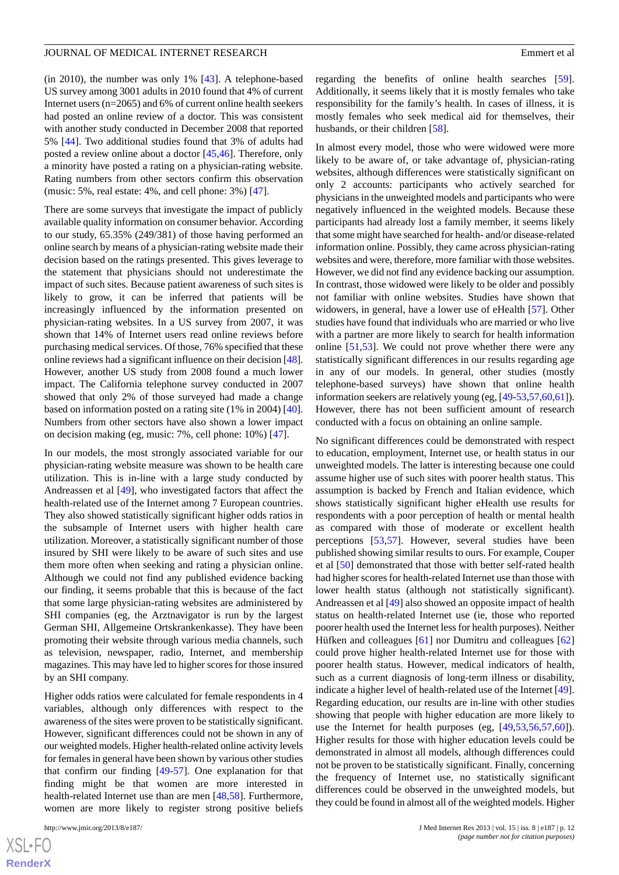(in 2010), the number was only 1% [[43\]](#page-14-9). A telephone-based US survey among 3001 adults in 2010 found that 4% of current Internet users (n=2065) and 6% of current online health seekers had posted an online review of a doctor. This was consistent with another study conducted in December 2008 that reported 5% [\[44](#page-14-10)]. Two additional studies found that 3% of adults had posted a review online about a doctor [\[45](#page-14-11),[46\]](#page-14-12). Therefore, only a minority have posted a rating on a physician-rating website. Rating numbers from other sectors confirm this observation (music: 5%, real estate: 4%, and cell phone: 3%) [\[47](#page-14-13)].

There are some surveys that investigate the impact of publicly available quality information on consumer behavior. According to our study, 65.35% (249/381) of those having performed an online search by means of a physician-rating website made their decision based on the ratings presented. This gives leverage to the statement that physicians should not underestimate the impact of such sites. Because patient awareness of such sites is likely to grow, it can be inferred that patients will be increasingly influenced by the information presented on physician-rating websites. In a US survey from 2007, it was shown that 14% of Internet users read online reviews before purchasing medical services. Of those, 76% specified that these online reviews had a significant influence on their decision [\[48\]](#page-14-14). However, another US study from 2008 found a much lower impact. The California telephone survey conducted in 2007 showed that only 2% of those surveyed had made a change based on information posted on a rating site (1% in 2004) [[40\]](#page-14-6). Numbers from other sectors have also shown a lower impact on decision making (eg, music: 7%, cell phone: 10%) [[47\]](#page-14-13).

In our models, the most strongly associated variable for our physician-rating website measure was shown to be health care utilization. This is in-line with a large study conducted by Andreassen et al [[49\]](#page-14-15), who investigated factors that affect the health-related use of the Internet among 7 European countries. They also showed statistically significant higher odds ratios in the subsample of Internet users with higher health care utilization. Moreover, a statistically significant number of those insured by SHI were likely to be aware of such sites and use them more often when seeking and rating a physician online. Although we could not find any published evidence backing our finding, it seems probable that this is because of the fact that some large physician-rating websites are administered by SHI companies (eg, the Arztnavigator is run by the largest German SHI, Allgemeine Ortskrankenkasse). They have been promoting their website through various media channels, such as television, newspaper, radio, Internet, and membership magazines. This may have led to higher scores for those insured by an SHI company.

Higher odds ratios were calculated for female respondents in 4 variables, although only differences with respect to the awareness of the sites were proven to be statistically significant. However, significant differences could not be shown in any of our weighted models. Higher health-related online activity levels for females in general have been shown by various other studies that confirm our finding [[49-](#page-14-15)[57\]](#page-15-0). One explanation for that finding might be that women are more interested in health-related Internet use than are men [\[48](#page-14-14),[58\]](#page-15-1). Furthermore, women are more likely to register strong positive beliefs

regarding the benefits of online health searches [[59\]](#page-15-2). Additionally, it seems likely that it is mostly females who take responsibility for the family's health. In cases of illness, it is mostly females who seek medical aid for themselves, their husbands, or their children [\[58](#page-15-1)].

In almost every model, those who were widowed were more likely to be aware of, or take advantage of, physician-rating websites, although differences were statistically significant on only 2 accounts: participants who actively searched for physicians in the unweighted models and participants who were negatively influenced in the weighted models. Because these participants had already lost a family member, it seems likely that some might have searched for health- and/or disease-related information online. Possibly, they came across physician-rating websites and were, therefore, more familiar with those websites. However, we did not find any evidence backing our assumption. In contrast, those widowed were likely to be older and possibly not familiar with online websites. Studies have shown that widowers, in general, have a lower use of eHealth [\[57](#page-15-0)]. Other studies have found that individuals who are married or who live with a partner are more likely to search for health information online [[51](#page-14-16)[,53](#page-14-17)]. We could not prove whether there were any statistically significant differences in our results regarding age in any of our models. In general, other studies (mostly telephone-based surveys) have shown that online health information seekers are relatively young (eg, [\[49](#page-14-15)-[53,](#page-14-17)[57](#page-15-0)[,60](#page-15-3),[61\]](#page-15-4)). However, there has not been sufficient amount of research conducted with a focus on obtaining an online sample.

No significant differences could be demonstrated with respect to education, employment, Internet use, or health status in our unweighted models. The latter is interesting because one could assume higher use of such sites with poorer health status. This assumption is backed by French and Italian evidence, which shows statistically significant higher eHealth use results for respondents with a poor perception of health or mental health as compared with those of moderate or excellent health perceptions [[53](#page-14-17)[,57](#page-15-0)]. However, several studies have been published showing similar results to ours. For example, Couper et al [\[50](#page-14-18)] demonstrated that those with better self-rated health had higher scores for health-related Internet use than those with lower health status (although not statistically significant). Andreassen et al [\[49](#page-14-15)] also showed an opposite impact of health status on health-related Internet use (ie, those who reported poorer health used the Internet less for health purposes). Neither Hüfken and colleagues [\[61](#page-15-4)] nor Dumitru and colleagues [\[62](#page-15-5)] could prove higher health-related Internet use for those with poorer health status. However, medical indicators of health, such as a current diagnosis of long-term illness or disability, indicate a higher level of health-related use of the Internet [[49\]](#page-14-15). Regarding education, our results are in-line with other studies showing that people with higher education are more likely to use the Internet for health purposes (eg, [[49,](#page-14-15)[53](#page-14-17),[56,](#page-15-6)[57](#page-15-0),[60\]](#page-15-3)). Higher results for those with higher education levels could be demonstrated in almost all models, although differences could not be proven to be statistically significant. Finally, concerning the frequency of Internet use, no statistically significant differences could be observed in the unweighted models, but they could be found in almost all of the weighted models. Higher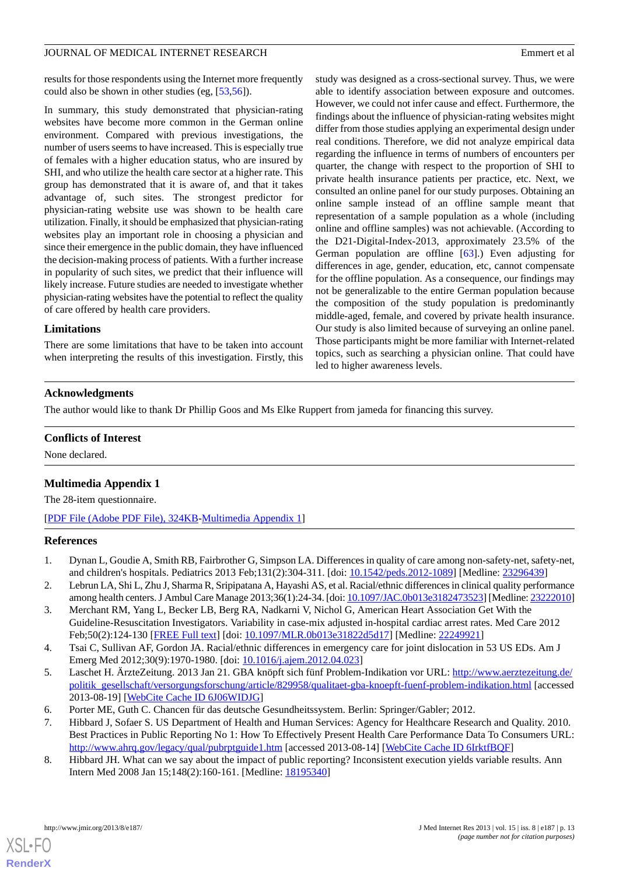results for those respondents using the Internet more frequently could also be shown in other studies (eg, [[53,](#page-14-17)[56](#page-15-6)]).

In summary, this study demonstrated that physician-rating websites have become more common in the German online environment. Compared with previous investigations, the number of users seems to have increased. This is especially true of females with a higher education status, who are insured by SHI, and who utilize the health care sector at a higher rate. This group has demonstrated that it is aware of, and that it takes advantage of, such sites. The strongest predictor for physician-rating website use was shown to be health care utilization. Finally, it should be emphasized that physician-rating websites play an important role in choosing a physician and since their emergence in the public domain, they have influenced the decision-making process of patients. With a further increase in popularity of such sites, we predict that their influence will likely increase. Future studies are needed to investigate whether physician-rating websites have the potential to reflect the quality of care offered by health care providers.

# **Limitations**

There are some limitations that have to be taken into account when interpreting the results of this investigation. Firstly, this study was designed as a cross-sectional survey. Thus, we were able to identify association between exposure and outcomes. However, we could not infer cause and effect. Furthermore, the findings about the influence of physician-rating websites might differ from those studies applying an experimental design under real conditions. Therefore, we did not analyze empirical data regarding the influence in terms of numbers of encounters per quarter, the change with respect to the proportion of SHI to private health insurance patients per practice, etc. Next, we consulted an online panel for our study purposes. Obtaining an online sample instead of an offline sample meant that representation of a sample population as a whole (including online and offline samples) was not achievable. (According to the D21-Digital-Index-2013, approximately 23.5% of the German population are offline [[63\]](#page-15-7).) Even adjusting for differences in age, gender, education, etc, cannot compensate for the offline population. As a consequence, our findings may not be generalizable to the entire German population because the composition of the study population is predominantly middle-aged, female, and covered by private health insurance. Our study is also limited because of surveying an online panel. Those participants might be more familiar with Internet-related topics, such as searching a physician online. That could have led to higher awareness levels.

# **Acknowledgments**

The author would like to thank Dr Phillip Goos and Ms Elke Ruppert from jameda for financing this survey.

## <span id="page-12-5"></span>**Conflicts of Interest**

None declared.

# **Multimedia Appendix 1**

<span id="page-12-0"></span>The 28-item questionnaire.

[[PDF File \(Adobe PDF File\), 324KB-Multimedia Appendix 1](https://jmir.org/api/download?alt_name=jmir_v15i8e187_app1.pdf&filename=54980094d8f85a3fc93cd211f9ac74d1.pdf)]

#### **References**

- 1. Dynan L, Goudie A, Smith RB, Fairbrother G, Simpson LA. Differences in quality of care among non-safety-net, safety-net, and children's hospitals. Pediatrics 2013 Feb;131(2):304-311. [doi: [10.1542/peds.2012-1089\]](http://dx.doi.org/10.1542/peds.2012-1089) [Medline: [23296439\]](http://www.ncbi.nlm.nih.gov/entrez/query.fcgi?cmd=Retrieve&db=PubMed&list_uids=23296439&dopt=Abstract)
- 2. Lebrun LA, Shi L, Zhu J, Sharma R, Sripipatana A, Hayashi AS, et al. Racial/ethnic differences in clinical quality performance among health centers. J Ambul Care Manage 2013;36(1):24-34. [doi: [10.1097/JAC.0b013e3182473523\]](http://dx.doi.org/10.1097/JAC.0b013e3182473523) [Medline: [23222010\]](http://www.ncbi.nlm.nih.gov/entrez/query.fcgi?cmd=Retrieve&db=PubMed&list_uids=23222010&dopt=Abstract)
- <span id="page-12-1"></span>3. Merchant RM, Yang L, Becker LB, Berg RA, Nadkarni V, Nichol G, American Heart Association Get With the Guideline-Resuscitation Investigators. Variability in case-mix adjusted in-hospital cardiac arrest rates. Med Care 2012 Feb;50(2):124-130 [[FREE Full text](http://europepmc.org/abstract/MED/22249921)] [doi: [10.1097/MLR.0b013e31822d5d17](http://dx.doi.org/10.1097/MLR.0b013e31822d5d17)] [Medline: [22249921](http://www.ncbi.nlm.nih.gov/entrez/query.fcgi?cmd=Retrieve&db=PubMed&list_uids=22249921&dopt=Abstract)]
- <span id="page-12-3"></span><span id="page-12-2"></span>4. Tsai C, Sullivan AF, Gordon JA. Racial/ethnic differences in emergency care for joint dislocation in 53 US EDs. Am J Emerg Med 2012;30(9):1970-1980. [doi: [10.1016/j.ajem.2012.04.023\]](http://dx.doi.org/10.1016/j.ajem.2012.04.023)
- <span id="page-12-4"></span>5. Laschet H. ÄrzteZeitung. 2013 Jan 21. GBA knöpft sich fünf Problem-Indikation vor URL: [http://www.aerztezeitung.de/](http://www.aerztezeitung.de/politik_gesellschaft/versorgungsforschung/article/829958/qualitaet-gba-knoepft-fuenf-problem-indikation.html) [politik\\_gesellschaft/versorgungsforschung/article/829958/qualitaet-gba-knoepft-fuenf-problem-indikation.html](http://www.aerztezeitung.de/politik_gesellschaft/versorgungsforschung/article/829958/qualitaet-gba-knoepft-fuenf-problem-indikation.html) [accessed 2013-08-19] [\[WebCite Cache ID 6J06WIDJG](http://www.webcitation.org/

                                    6J06WIDJG)]
- 6. Porter ME, Guth C. Chancen für das deutsche Gesundheitssystem. Berlin: Springer/Gabler; 2012.
- 7. Hibbard J, Sofaer S. US Department of Health and Human Services: Agency for Healthcare Research and Quality. 2010. Best Practices in Public Reporting No 1: How To Effectively Present Health Care Performance Data To Consumers URL: <http://www.ahrq.gov/legacy/qual/pubrptguide1.htm> [accessed 2013-08-14] [[WebCite Cache ID 6IrktfBQF\]](http://www.webcitation.org/

                                    6IrktfBQF)
- 8. Hibbard JH. What can we say about the impact of public reporting? Inconsistent execution yields variable results. Ann Intern Med 2008 Jan 15;148(2):160-161. [Medline: [18195340](http://www.ncbi.nlm.nih.gov/entrez/query.fcgi?cmd=Retrieve&db=PubMed&list_uids=18195340&dopt=Abstract)]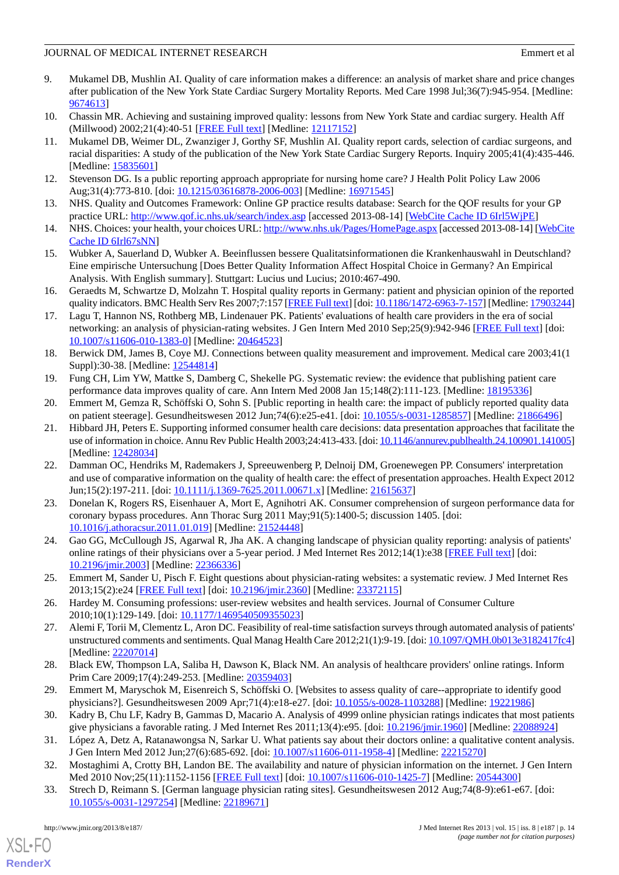- <span id="page-13-0"></span>9. Mukamel DB, Mushlin AI. Quality of care information makes a difference: an analysis of market share and price changes after publication of the New York State Cardiac Surgery Mortality Reports. Med Care 1998 Jul;36(7):945-954. [Medline: [9674613\]](http://www.ncbi.nlm.nih.gov/entrez/query.fcgi?cmd=Retrieve&db=PubMed&list_uids=9674613&dopt=Abstract)
- 10. Chassin MR. Achieving and sustaining improved quality: lessons from New York State and cardiac surgery. Health Aff (Millwood) 2002;21(4):40-51 [\[FREE Full text\]](http://content.healthaffairs.org/cgi/pmidlookup?view=long&pmid=12117152) [Medline: [12117152\]](http://www.ncbi.nlm.nih.gov/entrez/query.fcgi?cmd=Retrieve&db=PubMed&list_uids=12117152&dopt=Abstract)
- 11. Mukamel DB, Weimer DL, Zwanziger J, Gorthy SF, Mushlin AI. Quality report cards, selection of cardiac surgeons, and racial disparities: A study of the publication of the New York State Cardiac Surgery Reports. Inquiry 2005;41(4):435-446. [Medline: [15835601](http://www.ncbi.nlm.nih.gov/entrez/query.fcgi?cmd=Retrieve&db=PubMed&list_uids=15835601&dopt=Abstract)]
- 12. Stevenson DG. Is a public reporting approach appropriate for nursing home care? J Health Polit Policy Law 2006 Aug;31(4):773-810. [doi: [10.1215/03616878-2006-003\]](http://dx.doi.org/10.1215/03616878-2006-003) [Medline: [16971545](http://www.ncbi.nlm.nih.gov/entrez/query.fcgi?cmd=Retrieve&db=PubMed&list_uids=16971545&dopt=Abstract)]
- <span id="page-13-11"></span>13. NHS. Quality and Outcomes Framework: Online GP practice results database: Search for the QOF results for your GP practice URL: <http://www.qof.ic.nhs.uk/search/index.asp> [accessed 2013-08-14] [\[WebCite Cache ID 6Irl5WjPE](http://www.webcitation.org/

                                    6Irl5WjPE)]
- 14. NHS. Choices: your health, your choices URL:<http://www.nhs.uk/Pages/HomePage.aspx> [accessed 2013-08-14] [\[WebCite](http://www.webcitation.org/

                    6Irl67sNN) [Cache ID 6Irl67sNN\]](http://www.webcitation.org/

                                    6Irl67sNN)
- <span id="page-13-1"></span>15. Wubker A, Sauerland D, Wubker A. Beeinflussen bessere Qualitatsinformationen die Krankenhauswahl in Deutschland? Eine empirische Untersuchung [Does Better Quality Information Affect Hospital Choice in Germany? An Empirical Analysis. With English summary]. Stuttgart: Lucius und Lucius; 2010:467-490.
- <span id="page-13-2"></span>16. Geraedts M, Schwartze D, Molzahn T. Hospital quality reports in Germany: patient and physician opinion of the reported quality indicators. BMC Health Serv Res 2007;7:157 [\[FREE Full text](http://www.biomedcentral.com/1472-6963/7/157)] [doi: [10.1186/1472-6963-7-157](http://dx.doi.org/10.1186/1472-6963-7-157)] [Medline: [17903244\]](http://www.ncbi.nlm.nih.gov/entrez/query.fcgi?cmd=Retrieve&db=PubMed&list_uids=17903244&dopt=Abstract)
- <span id="page-13-3"></span>17. Lagu T, Hannon NS, Rothberg MB, Lindenauer PK. Patients' evaluations of health care providers in the era of social networking: an analysis of physician-rating websites. J Gen Intern Med 2010 Sep;25(9):942-946 [\[FREE Full text\]](http://europepmc.org/abstract/MED/20464523) [doi: [10.1007/s11606-010-1383-0\]](http://dx.doi.org/10.1007/s11606-010-1383-0) [Medline: [20464523](http://www.ncbi.nlm.nih.gov/entrez/query.fcgi?cmd=Retrieve&db=PubMed&list_uids=20464523&dopt=Abstract)]
- <span id="page-13-5"></span><span id="page-13-4"></span>18. Berwick DM, James B, Coye MJ. Connections between quality measurement and improvement. Medical care 2003;41(1 Suppl):30-38. [Medline: [12544814](http://www.ncbi.nlm.nih.gov/entrez/query.fcgi?cmd=Retrieve&db=PubMed&list_uids=12544814&dopt=Abstract)]
- <span id="page-13-6"></span>19. Fung CH, Lim YW, Mattke S, Damberg C, Shekelle PG. Systematic review: the evidence that publishing patient care performance data improves quality of care. Ann Intern Med 2008 Jan 15;148(2):111-123. [Medline: [18195336\]](http://www.ncbi.nlm.nih.gov/entrez/query.fcgi?cmd=Retrieve&db=PubMed&list_uids=18195336&dopt=Abstract)
- 20. Emmert M, Gemza R, Schöffski O, Sohn S. [Public reporting in health care: the impact of publicly reported quality data on patient steerage]. Gesundheitswesen 2012 Jun;74(6):e25-e41. [doi: [10.1055/s-0031-1285857\]](http://dx.doi.org/10.1055/s-0031-1285857) [Medline: [21866496\]](http://www.ncbi.nlm.nih.gov/entrez/query.fcgi?cmd=Retrieve&db=PubMed&list_uids=21866496&dopt=Abstract)
- 21. Hibbard JH, Peters E. Supporting informed consumer health care decisions: data presentation approaches that facilitate the use of information in choice. Annu Rev Public Health 2003;24:413-433. [doi: [10.1146/annurev.publhealth.24.100901.141005\]](http://dx.doi.org/10.1146/annurev.publhealth.24.100901.141005) [Medline: [12428034](http://www.ncbi.nlm.nih.gov/entrez/query.fcgi?cmd=Retrieve&db=PubMed&list_uids=12428034&dopt=Abstract)]
- <span id="page-13-7"></span>22. Damman OC, Hendriks M, Rademakers J, Spreeuwenberg P, Delnoij DM, Groenewegen PP. Consumers' interpretation and use of comparative information on the quality of health care: the effect of presentation approaches. Health Expect 2012 Jun;15(2):197-211. [doi: [10.1111/j.1369-7625.2011.00671.x\]](http://dx.doi.org/10.1111/j.1369-7625.2011.00671.x) [Medline: [21615637](http://www.ncbi.nlm.nih.gov/entrez/query.fcgi?cmd=Retrieve&db=PubMed&list_uids=21615637&dopt=Abstract)]
- <span id="page-13-9"></span><span id="page-13-8"></span>23. Donelan K, Rogers RS, Eisenhauer A, Mort E, Agnihotri AK. Consumer comprehension of surgeon performance data for coronary bypass procedures. Ann Thorac Surg 2011 May;91(5):1400-5; discussion 1405. [doi: [10.1016/j.athoracsur.2011.01.019\]](http://dx.doi.org/10.1016/j.athoracsur.2011.01.019) [Medline: [21524448](http://www.ncbi.nlm.nih.gov/entrez/query.fcgi?cmd=Retrieve&db=PubMed&list_uids=21524448&dopt=Abstract)]
- <span id="page-13-10"></span>24. Gao GG, McCullough JS, Agarwal R, Jha AK. A changing landscape of physician quality reporting: analysis of patients' online ratings of their physicians over a 5-year period. J Med Internet Res 2012;14(1):e38 [\[FREE Full text\]](http://www.jmir.org/2012/1/e38/) [doi: [10.2196/jmir.2003](http://dx.doi.org/10.2196/jmir.2003)] [Medline: [22366336](http://www.ncbi.nlm.nih.gov/entrez/query.fcgi?cmd=Retrieve&db=PubMed&list_uids=22366336&dopt=Abstract)]
- <span id="page-13-12"></span>25. Emmert M, Sander U, Pisch F. Eight questions about physician-rating websites: a systematic review. J Med Internet Res 2013;15(2):e24 [\[FREE Full text](http://www.jmir.org/2013/2/e24/)] [doi: [10.2196/jmir.2360\]](http://dx.doi.org/10.2196/jmir.2360) [Medline: [23372115](http://www.ncbi.nlm.nih.gov/entrez/query.fcgi?cmd=Retrieve&db=PubMed&list_uids=23372115&dopt=Abstract)]
- <span id="page-13-14"></span>26. Hardey M. Consuming professions: user-review websites and health services. Journal of Consumer Culture 2010;10(1):129-149. [doi: [10.1177/1469540509355023\]](http://dx.doi.org/10.1177/1469540509355023)
- 27. Alemi F, Torii M, Clementz L, Aron DC. Feasibility of real-time satisfaction surveys through automated analysis of patients' unstructured comments and sentiments. Qual Manag Health Care 2012;21(1):9-19. [doi: [10.1097/QMH.0b013e3182417fc4](http://dx.doi.org/10.1097/QMH.0b013e3182417fc4)] [Medline: [22207014](http://www.ncbi.nlm.nih.gov/entrez/query.fcgi?cmd=Retrieve&db=PubMed&list_uids=22207014&dopt=Abstract)]
- 28. Black EW, Thompson LA, Saliba H, Dawson K, Black NM. An analysis of healthcare providers' online ratings. Inform Prim Care 2009;17(4):249-253. [Medline: [20359403](http://www.ncbi.nlm.nih.gov/entrez/query.fcgi?cmd=Retrieve&db=PubMed&list_uids=20359403&dopt=Abstract)]
- 29. Emmert M, Maryschok M, Eisenreich S, Schöffski O. [Websites to assess quality of care--appropriate to identify good physicians?]. Gesundheitswesen 2009 Apr;71(4):e18-e27. [doi: [10.1055/s-0028-1103288](http://dx.doi.org/10.1055/s-0028-1103288)] [Medline: [19221986\]](http://www.ncbi.nlm.nih.gov/entrez/query.fcgi?cmd=Retrieve&db=PubMed&list_uids=19221986&dopt=Abstract)
- <span id="page-13-13"></span>30. Kadry B, Chu LF, Kadry B, Gammas D, Macario A. Analysis of 4999 online physician ratings indicates that most patients give physicians a favorable rating. J Med Internet Res 2011;13(4):e95. [doi: [10.2196/jmir.1960\]](http://dx.doi.org/10.2196/jmir.1960) [Medline: [22088924\]](http://www.ncbi.nlm.nih.gov/entrez/query.fcgi?cmd=Retrieve&db=PubMed&list_uids=22088924&dopt=Abstract)
- 31. López A, Detz A, Ratanawongsa N, Sarkar U. What patients say about their doctors online: a qualitative content analysis. J Gen Intern Med 2012 Jun;27(6):685-692. [doi: [10.1007/s11606-011-1958-4\]](http://dx.doi.org/10.1007/s11606-011-1958-4) [Medline: [22215270](http://www.ncbi.nlm.nih.gov/entrez/query.fcgi?cmd=Retrieve&db=PubMed&list_uids=22215270&dopt=Abstract)]
- 32. Mostaghimi A, Crotty BH, Landon BE. The availability and nature of physician information on the internet. J Gen Intern Med 2010 Nov;25(11):1152-1156 [\[FREE Full text\]](http://europepmc.org/abstract/MED/20544300) [doi: [10.1007/s11606-010-1425-7](http://dx.doi.org/10.1007/s11606-010-1425-7)] [Medline: [20544300\]](http://www.ncbi.nlm.nih.gov/entrez/query.fcgi?cmd=Retrieve&db=PubMed&list_uids=20544300&dopt=Abstract)
- 33. Strech D, Reimann S. [German language physician rating sites]. Gesundheitswesen 2012 Aug;74(8-9):e61-e67. [doi: [10.1055/s-0031-1297254](http://dx.doi.org/10.1055/s-0031-1297254)] [Medline: [22189671](http://www.ncbi.nlm.nih.gov/entrez/query.fcgi?cmd=Retrieve&db=PubMed&list_uids=22189671&dopt=Abstract)]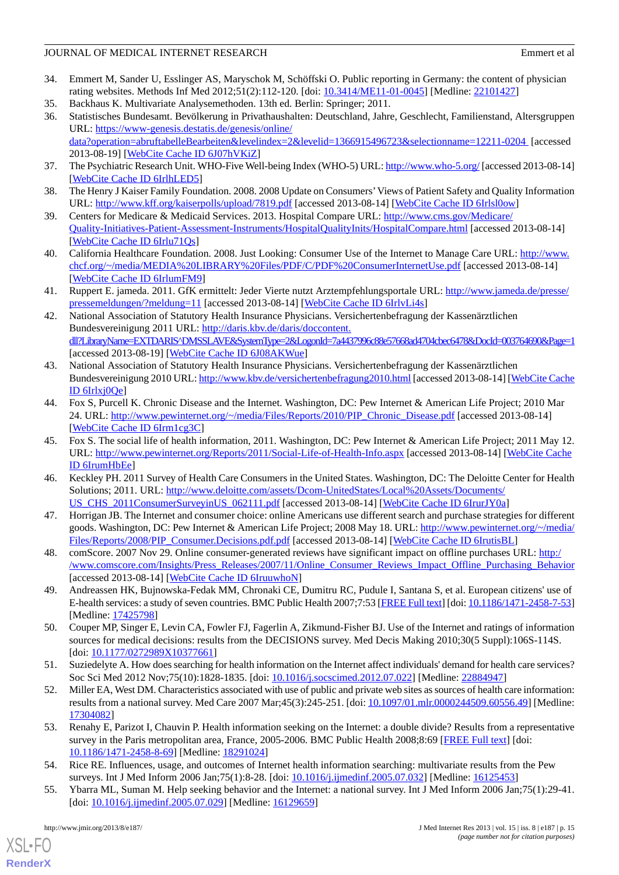- <span id="page-14-0"></span>34. Emmert M, Sander U, Esslinger AS, Maryschok M, Schöffski O. Public reporting in Germany: the content of physician rating websites. Methods Inf Med 2012;51(2):112-120. [doi: [10.3414/ME11-01-0045](http://dx.doi.org/10.3414/ME11-01-0045)] [Medline: [22101427\]](http://www.ncbi.nlm.nih.gov/entrez/query.fcgi?cmd=Retrieve&db=PubMed&list_uids=22101427&dopt=Abstract)
- <span id="page-14-2"></span><span id="page-14-1"></span>35. Backhaus K. Multivariate Analysemethoden. 13th ed. Berlin: Springer; 2011.
- 36. Statistisches Bundesamt. Bevölkerung in Privathaushalten: Deutschland, Jahre, Geschlecht, Familienstand, Altersgruppen URL: [https://www-genesis.destatis.de/genesis/online/](https://www-genesis.destatis.de/genesis/online/data?operation=abruftabelleBearbeiten&levelindex=2&levelid=1366915496723&selectionname=12211-0204) [data?operation=abruftabelleBearbeiten&levelindex=2&levelid=1366915496723&selectionname=12211-0204](https://www-genesis.destatis.de/genesis/online/data?operation=abruftabelleBearbeiten&levelindex=2&levelid=1366915496723&selectionname=12211-0204) [accessed 2013-08-19] [\[WebCite Cache ID 6J07hVKiZ](http://www.webcitation.org/

                                    6J07hVKiZ)]
- <span id="page-14-4"></span><span id="page-14-3"></span>37. The Psychiatric Research Unit. WHO-Five Well-being Index (WHO-5) URL:<http://www.who-5.org/> [accessed 2013-08-14] [[WebCite Cache ID 6IrlhLED5\]](http://www.webcitation.org/

                                    6IrlhLED5)
- <span id="page-14-5"></span>38. The Henry J Kaiser Family Foundation. 2008. 2008 Update on Consumers'Views of Patient Safety and Quality Information URL: <http://www.kff.org/kaiserpolls/upload/7819.pdf> [accessed 2013-08-14] [\[WebCite Cache ID 6Irlsl0ow\]](http://www.webcitation.org/

                                    6Irlsl0ow)
- <span id="page-14-6"></span>39. Centers for Medicare & Medicaid Services. 2013. Hospital Compare URL: [http://www.cms.gov/Medicare/](http://www.cms.gov/Medicare/Quality-Initiatives-Patient-Assessment-Instruments/HospitalQualityInits/HospitalCompare.html) [Quality-Initiatives-Patient-Assessment-Instruments/HospitalQualityInits/HospitalCompare.html](http://www.cms.gov/Medicare/Quality-Initiatives-Patient-Assessment-Instruments/HospitalQualityInits/HospitalCompare.html) [accessed 2013-08-14] [[WebCite Cache ID 6Irlu71Qs](http://www.webcitation.org/

                                    6Irlu71Qs)]
- <span id="page-14-7"></span>40. California Healthcare Foundation. 2008. Just Looking: Consumer Use of the Internet to Manage Care URL: [http://www.](http://www.chcf.org/~/media/MEDIA%20LIBRARY%20Files/PDF/C/PDF%20ConsumerInternetUse.pdf) [chcf.org/~/media/MEDIA%20LIBRARY%20Files/PDF/C/PDF%20ConsumerInternetUse.pdf](http://www.chcf.org/~/media/MEDIA%20LIBRARY%20Files/PDF/C/PDF%20ConsumerInternetUse.pdf) [accessed 2013-08-14] [[WebCite Cache ID 6IrlumFM9](http://www.webcitation.org/

                                    6IrlumFM9)]
- <span id="page-14-8"></span>41. Ruppert E. jameda. 2011. GfK ermittelt: Jeder Vierte nutzt Arztempfehlungsportale URL: [http://www.jameda.de/presse/](http://www.jameda.de/presse/pressemeldungen/?meldung=11) [pressemeldungen/?meldung=11](http://www.jameda.de/presse/pressemeldungen/?meldung=11) [accessed 2013-08-14] [[WebCite Cache ID 6IrlvLi4s\]](http://www.webcitation.org/

                                    6IrlvLi4s)
- <span id="page-14-9"></span>42. National Association of Statutory Health Insurance Physicians. Versichertenbefragung der Kassenärztlichen Bundesvereinigung 2011 URL: [http://daris.kbv.de/daris/doccontent.](http://daris.kbv.de/daris/doccontent.dll?LibraryName=EXTDARIS^DMSSLAVE&SystemType=2&LogonId=7a4437996c88e57668ad4704cbec6478&DocId=003764690&Page=1) [dll?LibraryName=EXTDARIS^DMSSLAVE&SystemType=2&LogonId=7a4437996c88e57668ad4704cbec6478&DocId=003764690&Page=1](http://daris.kbv.de/daris/doccontent.dll?LibraryName=EXTDARIS^DMSSLAVE&SystemType=2&LogonId=7a4437996c88e57668ad4704cbec6478&DocId=003764690&Page=1) [accessed 2013-08-19] [\[WebCite Cache ID 6J08AKWue\]](http://www.webcitation.org/

                                    6J08AKWue)
- <span id="page-14-10"></span>43. National Association of Statutory Health Insurance Physicians. Versichertenbefragung der Kassenärztlichen Bundesvereinigung 2010 URL:<http://www.kbv.de/versichertenbefragung2010.html> [accessed 2013-08-14] [[WebCite Cache](http://www.webcitation.org/

                                    6Irlxj0Qe) [ID 6Irlxj0Qe](http://www.webcitation.org/

                                    6Irlxj0Qe)]
- <span id="page-14-11"></span>44. Fox S, Purcell K. Chronic Disease and the Internet. Washington, DC: Pew Internet & American Life Project; 2010 Mar 24. URL: [http://www.pewinternet.org/~/media/Files/Reports/2010/PIP\\_Chronic\\_Disease.pdf](http://www.pewinternet.org/~/media/Files/Reports/2010/PIP_Chronic_Disease.pdf) [accessed 2013-08-14] [[WebCite Cache ID 6Irm1cg3C](http://www.webcitation.org/

                                    6Irm1cg3C)]
- <span id="page-14-12"></span>45. Fox S. The social life of health information, 2011. Washington, DC: Pew Internet & American Life Project; 2011 May 12. URL: <http://www.pewinternet.org/Reports/2011/Social-Life-of-Health-Info.aspx> [accessed 2013-08-14] [[WebCite Cache](http://www.webcitation.org/

                                    6IrumHbEe) [ID 6IrumHbEe\]](http://www.webcitation.org/

                                    6IrumHbEe)
- <span id="page-14-13"></span>46. Keckley PH. 2011 Survey of Health Care Consumers in the United States. Washington, DC: The Deloitte Center for Health Solutions; 2011. URL: [http://www.deloitte.com/assets/Dcom-UnitedStates/Local%20Assets/Documents/](http://www.deloitte.com/assets/Dcom-UnitedStates/Local%20Assets/Documents/US_CHS_2011ConsumerSurveyinUS_062111.pdf) [US\\_CHS\\_2011ConsumerSurveyinUS\\_062111.pdf](http://www.deloitte.com/assets/Dcom-UnitedStates/Local%20Assets/Documents/US_CHS_2011ConsumerSurveyinUS_062111.pdf) [accessed 2013-08-14] [\[WebCite Cache ID 6IrurJY0a\]](http://www.webcitation.org/

                                    6IrurJY0a)
- <span id="page-14-15"></span><span id="page-14-14"></span>47. Horrigan JB. The Internet and consumer choice: online Americans use different search and purchase strategies for different goods. Washington, DC: Pew Internet & American Life Project; 2008 May 18. URL: [http://www.pewinternet.org/~/media/](http://www.pewinternet.org/~/media/Files/Reports/2008/PIP_Consumer.Decisions.pdf.pdf) [Files/Reports/2008/PIP\\_Consumer.Decisions.pdf.pdf](http://www.pewinternet.org/~/media/Files/Reports/2008/PIP_Consumer.Decisions.pdf.pdf) [accessed 2013-08-14] [\[WebCite Cache ID 6IrutisBL\]](http://www.webcitation.org/

                                    6IrutisBL)
- <span id="page-14-18"></span>48. comScore. 2007 Nov 29. Online consumer-generated reviews have significant impact on offline purchases URL: [http:/](http://www.comscore.com/Insights/Press_Releases/2007/11/Online_Consumer_Reviews_Impact_Offline_Purchasing_Behavior) [/www.comscore.com/Insights/Press\\_Releases/2007/11/Online\\_Consumer\\_Reviews\\_Impact\\_Offline\\_Purchasing\\_Behavior](http://www.comscore.com/Insights/Press_Releases/2007/11/Online_Consumer_Reviews_Impact_Offline_Purchasing_Behavior) [accessed 2013-08-14] [\[WebCite Cache ID 6IruuwhoN](http://www.webcitation.org/

                                    6IruuwhoN)]
- <span id="page-14-16"></span>49. Andreassen HK, Bujnowska-Fedak MM, Chronaki CE, Dumitru RC, Pudule I, Santana S, et al. European citizens' use of E-health services: a study of seven countries. BMC Public Health 2007;7:53 [\[FREE Full text](http://www.biomedcentral.com/1471-2458/7/53)] [doi: [10.1186/1471-2458-7-53\]](http://dx.doi.org/10.1186/1471-2458-7-53) [Medline: [17425798](http://www.ncbi.nlm.nih.gov/entrez/query.fcgi?cmd=Retrieve&db=PubMed&list_uids=17425798&dopt=Abstract)]
- 50. Couper MP, Singer E, Levin CA, Fowler FJ, Fagerlin A, Zikmund-Fisher BJ. Use of the Internet and ratings of information sources for medical decisions: results from the DECISIONS survey. Med Decis Making 2010;30(5 Suppl):106S-114S. [doi: [10.1177/0272989X10377661](http://dx.doi.org/10.1177/0272989X10377661)]
- <span id="page-14-17"></span>51. Suziedelyte A. How does searching for health information on the Internet affect individuals' demand for health care services? Soc Sci Med 2012 Nov; 75(10):1828-1835. [doi: [10.1016/j.socscimed.2012.07.022](http://dx.doi.org/10.1016/j.socscimed.2012.07.022)] [Medline: [22884947](http://www.ncbi.nlm.nih.gov/entrez/query.fcgi?cmd=Retrieve&db=PubMed&list_uids=22884947&dopt=Abstract)]
- 52. Miller EA, West DM. Characteristics associated with use of public and private web sites as sources of health care information: results from a national survey. Med Care 2007 Mar;45(3):245-251. [doi: [10.1097/01.mlr.0000244509.60556.49\]](http://dx.doi.org/10.1097/01.mlr.0000244509.60556.49) [Medline: [17304082](http://www.ncbi.nlm.nih.gov/entrez/query.fcgi?cmd=Retrieve&db=PubMed&list_uids=17304082&dopt=Abstract)]
- 53. Renahy E, Parizot I, Chauvin P. Health information seeking on the Internet: a double divide? Results from a representative survey in the Paris metropolitan area, France, 2005-2006. BMC Public Health 2008;8:69 [[FREE Full text](http://www.biomedcentral.com/1471-2458/8/69)] [doi: [10.1186/1471-2458-8-69\]](http://dx.doi.org/10.1186/1471-2458-8-69) [Medline: [18291024\]](http://www.ncbi.nlm.nih.gov/entrez/query.fcgi?cmd=Retrieve&db=PubMed&list_uids=18291024&dopt=Abstract)
- 54. Rice RE. Influences, usage, and outcomes of Internet health information searching: multivariate results from the Pew surveys. Int J Med Inform 2006 Jan; 75(1): 8-28. [doi: [10.1016/j.ijmedinf.2005.07.032\]](http://dx.doi.org/10.1016/j.ijmedinf.2005.07.032) [Medline: [16125453](http://www.ncbi.nlm.nih.gov/entrez/query.fcgi?cmd=Retrieve&db=PubMed&list_uids=16125453&dopt=Abstract)]
- 55. Ybarra ML, Suman M. Help seeking behavior and the Internet: a national survey. Int J Med Inform 2006 Jan;75(1):29-41. [doi: [10.1016/j.ijmedinf.2005.07.029\]](http://dx.doi.org/10.1016/j.ijmedinf.2005.07.029) [Medline: [16129659\]](http://www.ncbi.nlm.nih.gov/entrez/query.fcgi?cmd=Retrieve&db=PubMed&list_uids=16129659&dopt=Abstract)